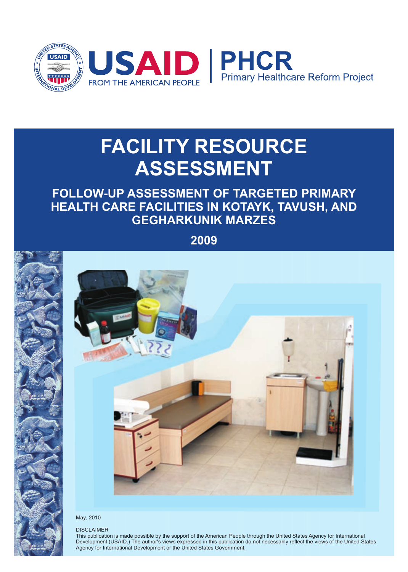

# **FACILITY RESOURCE ASSESSMENT**

# **FOLLOW-UP ASSESSMENT OF TARGETED PRIMARY HEALTH CARE FACILITIES IN KOTAYK, TAVUSH, AND GEGHARKUNIK MARZES**

**2009**



#### May, 2010

#### DISCLAIMER

This publication is made possible by the support of the American People through the United States Agency for International Development (USAID.) The author's views expressed in this publication do not necessarily reflect the views of the United States Agency for International Development or the United States Government.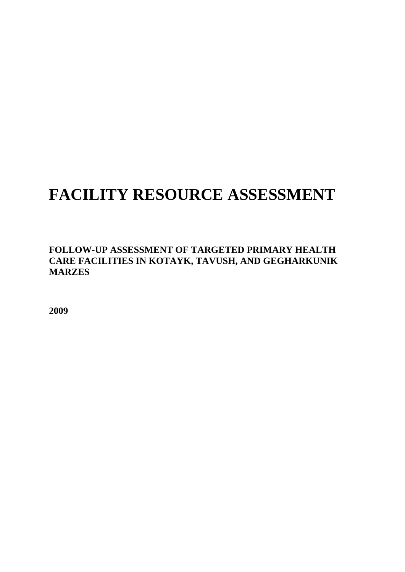# **FACILITY RESOURCE ASSESSMENT**

**FOLLOW-UP ASSESSMENT OF TARGETED PRIMARY HEALTH CARE FACILITIES IN KOTAYK, TAVUSH, AND GEGHARKUNIK MARZES** 

**2009**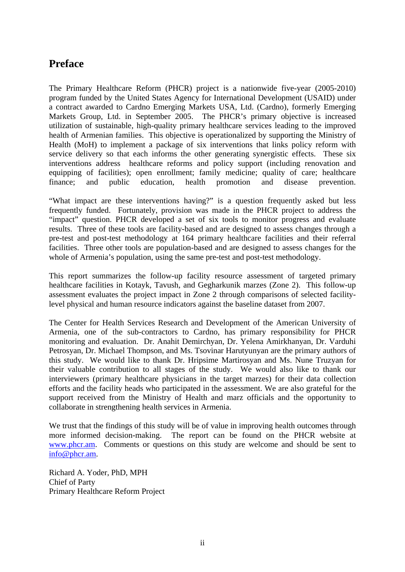## **Preface**

The Primary Healthcare Reform (PHCR) project is a nationwide five-year (2005-2010) program funded by the United States Agency for International Development (USAID) under a contract awarded to Cardno Emerging Markets USA, Ltd. (Cardno), formerly Emerging Markets Group, Ltd. in September 2005. The PHCR's primary objective is increased utilization of sustainable, high-quality primary healthcare services leading to the improved health of Armenian families. This objective is operationalized by supporting the Ministry of Health (MoH) to implement a package of six interventions that links policy reform with service delivery so that each informs the other generating synergistic effects. These six interventions address healthcare reforms and policy support (including renovation and equipping of facilities); open enrollment; family medicine; quality of care; healthcare finance; and public education, health promotion and disease prevention.

"What impact are these interventions having?" is a question frequently asked but less frequently funded. Fortunately, provision was made in the PHCR project to address the "impact" question. PHCR developed a set of six tools to monitor progress and evaluate results. Three of these tools are facility-based and are designed to assess changes through a pre-test and post-test methodology at 164 primary healthcare facilities and their referral facilities. Three other tools are population-based and are designed to assess changes for the whole of Armenia's population, using the same pre-test and post-test methodology.

This report summarizes the follow-up facility resource assessment of targeted primary healthcare facilities in Kotayk, Tavush, and Gegharkunik marzes (Zone 2). This follow-up assessment evaluates the project impact in Zone 2 through comparisons of selected facilitylevel physical and human resource indicators against the baseline dataset from 2007.

The Center for Health Services Research and Development of the American University of Armenia, one of the sub-contractors to Cardno, has primary responsibility for PHCR monitoring and evaluation. Dr. Anahit Demirchyan, Dr. Yelena Amirkhanyan, Dr. Varduhi Petrosyan, Dr. Michael Thompson, and Ms. Tsovinar Harutyunyan are the primary authors of this study. We would like to thank Dr. Hripsime Martirosyan and Ms. Nune Truzyan for their valuable contribution to all stages of the study. We would also like to thank our interviewers (primary healthcare physicians in the target marzes) for their data collection efforts and the facility heads who participated in the assessment. We are also grateful for the support received from the Ministry of Health and marz officials and the opportunity to collaborate in strengthening health services in Armenia.

We trust that the findings of this study will be of value in improving health outcomes through more informed decision-making. The report can be found on the PHCR website at www.phcr.am. Comments or questions on this study are welcome and should be sent to info@phcr.am.

Richard A. Yoder, PhD, MPH Chief of Party Primary Healthcare Reform Project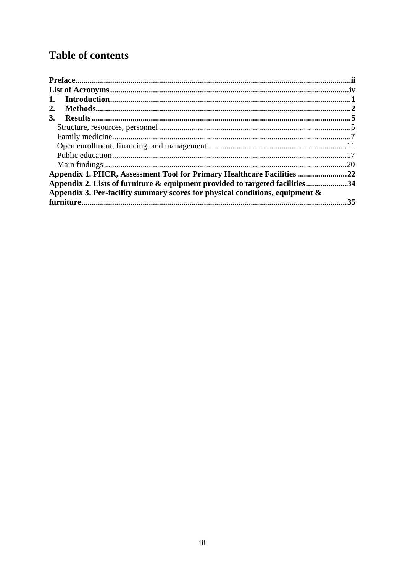# **Table of contents**

| In traditional. 1<br>1.                                                         |     |
|---------------------------------------------------------------------------------|-----|
| 2.                                                                              |     |
| 3.                                                                              |     |
|                                                                                 |     |
|                                                                                 |     |
|                                                                                 |     |
|                                                                                 |     |
|                                                                                 | .20 |
| Appendix 1. PHCR, Assessment Tool for Primary Healthcare Facilities 22          |     |
| Appendix 2. Lists of furniture & equipment provided to targeted facilities34    |     |
| Appendix 3. Per-facility summary scores for physical conditions, equipment $\&$ |     |
|                                                                                 | 35  |
|                                                                                 |     |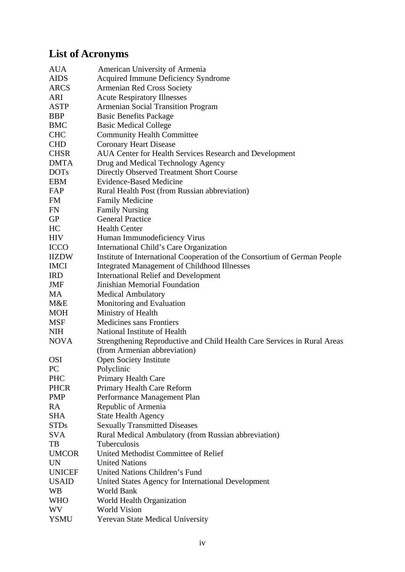# **List of Acronyms**

| <b>AUA</b>    | American University of Armenia                                            |
|---------------|---------------------------------------------------------------------------|
| <b>AIDS</b>   | <b>Acquired Immune Deficiency Syndrome</b>                                |
| ARCS          | <b>Armenian Red Cross Society</b>                                         |
| ARI           | <b>Acute Respiratory Illnesses</b>                                        |
| <b>ASTP</b>   | <b>Armenian Social Transition Program</b>                                 |
| <b>BBP</b>    | <b>Basic Benefits Package</b>                                             |
| <b>BMC</b>    | <b>Basic Medical College</b>                                              |
| <b>CHC</b>    | <b>Community Health Committee</b>                                         |
| <b>CHD</b>    | <b>Coronary Heart Disease</b>                                             |
| <b>CHSR</b>   | AUA Center for Health Services Research and Development                   |
| <b>DMTA</b>   | Drug and Medical Technology Agency                                        |
| <b>DOTs</b>   | Directly Observed Treatment Short Course                                  |
| <b>EBM</b>    | <b>Evidence-Based Medicine</b>                                            |
| FAP           | Rural Health Post (from Russian abbreviation)                             |
| FM            | <b>Family Medicine</b>                                                    |
| FN            | <b>Family Nursing</b>                                                     |
| GP            | <b>General Practice</b>                                                   |
| HC            | <b>Health Center</b>                                                      |
| <b>HIV</b>    | Human Immunodeficiency Virus                                              |
| <b>ICCO</b>   | International Child's Care Organization                                   |
| <b>IIZDW</b>  | Institute of International Cooperation of the Consortium of German People |
| <b>IMCI</b>   | <b>Integrated Management of Childhood Illnesses</b>                       |
| <b>IRD</b>    | <b>International Relief and Development</b>                               |
| JMF           | Jinishian Memorial Foundation                                             |
| MA            | <b>Medical Ambulatory</b>                                                 |
| M&E           | Monitoring and Evaluation                                                 |
| <b>MOH</b>    | Ministry of Health                                                        |
| <b>MSF</b>    | <b>Medicines sans Frontiers</b>                                           |
| <b>NIH</b>    | National Institute of Health                                              |
| <b>NOVA</b>   | Strengthening Reproductive and Child Health Care Services in Rural Areas  |
|               | (from Armenian abbreviation)                                              |
| <b>OSI</b>    | <b>Open Society Institute</b>                                             |
| PC            | Polyclinic                                                                |
| <b>PHC</b>    | Primary Health Care                                                       |
| <b>PHCR</b>   | Primary Health Care Reform                                                |
| <b>PMP</b>    | Performance Management Plan                                               |
| RA            | Republic of Armenia                                                       |
| <b>SHA</b>    | <b>State Health Agency</b>                                                |
| <b>STDs</b>   | <b>Sexually Transmitted Diseases</b>                                      |
| <b>SVA</b>    | Rural Medical Ambulatory (from Russian abbreviation)                      |
| TB            | Tuberculosis                                                              |
| <b>UMCOR</b>  | United Methodist Committee of Relief                                      |
| <b>UN</b>     | <b>United Nations</b>                                                     |
| <b>UNICEF</b> | United Nations Children's Fund                                            |
| <b>USAID</b>  | United States Agency for International Development                        |
| <b>WB</b>     | World Bank                                                                |
| <b>WHO</b>    | World Health Organization                                                 |
| <b>WV</b>     | <b>World Vision</b>                                                       |
| <b>YSMU</b>   | Yerevan State Medical University                                          |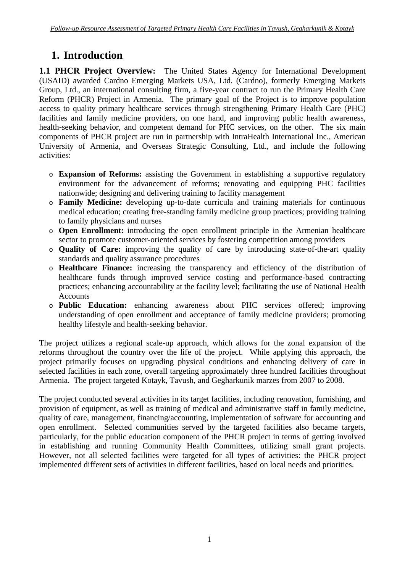# **1. Introduction**

**1.1 PHCR Project Overview:** The United States Agency for International Development (USAID) awarded Cardno Emerging Markets USA, Ltd. (Cardno), formerly Emerging Markets Group, Ltd., an international consulting firm, a five-year contract to run the Primary Health Care Reform (PHCR) Project in Armenia. The primary goal of the Project is to improve population access to quality primary healthcare services through strengthening Primary Health Care (PHC) facilities and family medicine providers, on one hand, and improving public health awareness, health-seeking behavior, and competent demand for PHC services, on the other. The six main components of PHCR project are run in partnership with IntraHealth International Inc., American University of Armenia, and Overseas Strategic Consulting, Ltd., and include the following activities:

- o **Expansion of Reforms:** assisting the Government in establishing a supportive regulatory environment for the advancement of reforms; renovating and equipping PHC facilities nationwide; designing and delivering training to facility management
- o **Family Medicine:** developing up-to-date curricula and training materials for continuous medical education; creating free-standing family medicine group practices; providing training to family physicians and nurses
- o **Open Enrollment:** introducing the open enrollment principle in the Armenian healthcare sector to promote customer-oriented services by fostering competition among providers
- o **Quality of Care:** improving the quality of care by introducing state-of-the-art quality standards and quality assurance procedures
- o **Healthcare Finance:** increasing the transparency and efficiency of the distribution of healthcare funds through improved service costing and performance-based contracting practices; enhancing accountability at the facility level; facilitating the use of National Health **Accounts**
- o **Public Education:** enhancing awareness about PHC services offered; improving understanding of open enrollment and acceptance of family medicine providers; promoting healthy lifestyle and health-seeking behavior.

The project utilizes a regional scale-up approach, which allows for the zonal expansion of the reforms throughout the country over the life of the project. While applying this approach, the project primarily focuses on upgrading physical conditions and enhancing delivery of care in selected facilities in each zone, overall targeting approximately three hundred facilities throughout Armenia. The project targeted Kotayk, Tavush, and Gegharkunik marzes from 2007 to 2008.

The project conducted several activities in its target facilities, including renovation, furnishing, and provision of equipment, as well as training of medical and administrative staff in family medicine, quality of care, management, financing/accounting, implementation of software for accounting and open enrollment. Selected communities served by the targeted facilities also became targets, particularly, for the public education component of the PHCR project in terms of getting involved in establishing and running Community Health Committees, utilizing small grant projects. However, not all selected facilities were targeted for all types of activities: the PHCR project implemented different sets of activities in different facilities, based on local needs and priorities.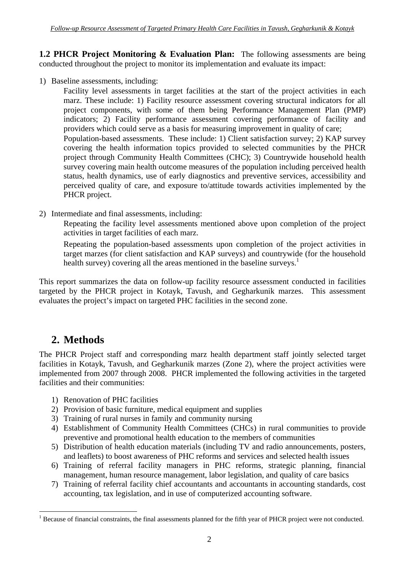**1.2 PHCR Project Monitoring & Evaluation Plan:** The following assessments are being conducted throughout the project to monitor its implementation and evaluate its impact:

1) Baseline assessments, including:

Facility level assessments in target facilities at the start of the project activities in each marz. These include: 1) Facility resource assessment covering structural indicators for all project components, with some of them being Performance Management Plan (PMP) indicators; 2) Facility performance assessment covering performance of facility and providers which could serve as a basis for measuring improvement in quality of care; Population-based assessments. These include: 1) Client satisfaction survey; 2) KAP survey covering the health information topics provided to selected communities by the PHCR project through Community Health Committees (CHC); 3) Countrywide household health survey covering main health outcome measures of the population including perceived health status, health dynamics, use of early diagnostics and preventive services, accessibility and perceived quality of care, and exposure to/attitude towards activities implemented by the PHCR project.

2) Intermediate and final assessments, including:

Repeating the facility level assessments mentioned above upon completion of the project activities in target facilities of each marz.

Repeating the population-based assessments upon completion of the project activities in target marzes (for client satisfaction and KAP surveys) and countrywide (for the household health survey) covering all the areas mentioned in the baseline surveys.<sup>1</sup>

This report summarizes the data on follow-up facility resource assessment conducted in facilities targeted by the PHCR project in Kotayk, Tavush, and Gegharkunik marzes. This assessment evaluates the project's impact on targeted PHC facilities in the second zone.

# **2. Methods**

 $\overline{a}$ 

The PHCR Project staff and corresponding marz health department staff jointly selected target facilities in Kotayk, Tavush, and Gegharkunik marzes (Zone 2), where the project activities were implemented from 2007 through 2008. PHCR implemented the following activities in the targeted facilities and their communities:

- 1) Renovation of PHC facilities
- 2) Provision of basic furniture, medical equipment and supplies
- 3) Training of rural nurses in family and community nursing
- 4) Establishment of Community Health Committees (CHCs) in rural communities to provide preventive and promotional health education to the members of communities
- 5) Distribution of health education materials (including TV and radio announcements, posters, and leaflets) to boost awareness of PHC reforms and services and selected health issues
- 6) Training of referral facility managers in PHC reforms, strategic planning, financial management, human resource management, labor legislation, and quality of care basics
- 7) Training of referral facility chief accountants and accountants in accounting standards, cost accounting, tax legislation, and in use of computerized accounting software.

<sup>&</sup>lt;sup>1</sup> Because of financial constraints, the final assessments planned for the fifth year of PHCR project were not conducted.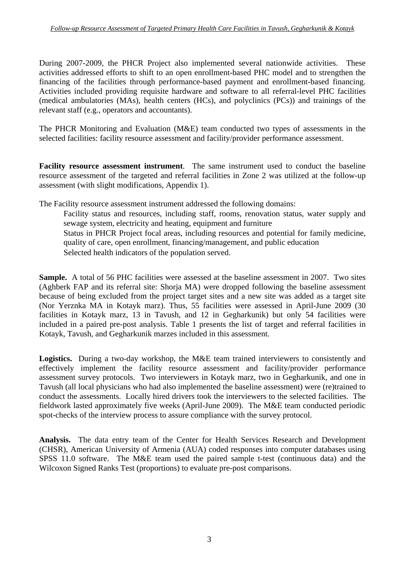During 2007-2009, the PHCR Project also implemented several nationwide activities. These activities addressed efforts to shift to an open enrollment-based PHC model and to strengthen the financing of the facilities through performance-based payment and enrollment-based financing. Activities included providing requisite hardware and software to all referral-level PHC facilities (medical ambulatories (MAs), health centers (HCs), and polyclinics (PCs)) and trainings of the relevant staff (e.g., operators and accountants).

The PHCR Monitoring and Evaluation (M&E) team conducted two types of assessments in the selected facilities: facility resource assessment and facility/provider performance assessment.

**Facility resource assessment instrument**. The same instrument used to conduct the baseline resource assessment of the targeted and referral facilities in Zone 2 was utilized at the follow-up assessment (with slight modifications, Appendix 1).

The Facility resource assessment instrument addressed the following domains:

Facility status and resources, including staff, rooms, renovation status, water supply and sewage system, electricity and heating, equipment and furniture Status in PHCR Project focal areas, including resources and potential for family medicine, quality of care, open enrollment, financing/management, and public education

Selected health indicators of the population served.

**Sample.** A total of 56 PHC facilities were assessed at the baseline assessment in 2007. Two sites (Aghberk FAP and its referral site: Shorja MA) were dropped following the baseline assessment because of being excluded from the project target sites and a new site was added as a target site (Nor Yerznka MA in Kotayk marz). Thus, 55 facilities were assessed in April-June 2009 (30 facilities in Kotayk marz, 13 in Tavush, and 12 in Gegharkunik) but only 54 facilities were included in a paired pre-post analysis. Table 1 presents the list of target and referral facilities in Kotayk, Tavush, and Gegharkunik marzes included in this assessment.

Logistics. During a two-day workshop, the M&E team trained interviewers to consistently and effectively implement the facility resource assessment and facility/provider performance assessment survey protocols. Two interviewers in Kotayk marz, two in Gegharkunik, and one in Tavush (all local physicians who had also implemented the baseline assessment) were (re)trained to conduct the assessments. Locally hired drivers took the interviewers to the selected facilities. The fieldwork lasted approximately five weeks (April-June 2009). The M&E team conducted periodic spot-checks of the interview process to assure compliance with the survey protocol.

**Analysis.** The data entry team of the Center for Health Services Research and Development (CHSR), American University of Armenia (AUA) coded responses into computer databases using SPSS 11.0 software. The M&E team used the paired sample t-test (continuous data) and the Wilcoxon Signed Ranks Test (proportions) to evaluate pre-post comparisons.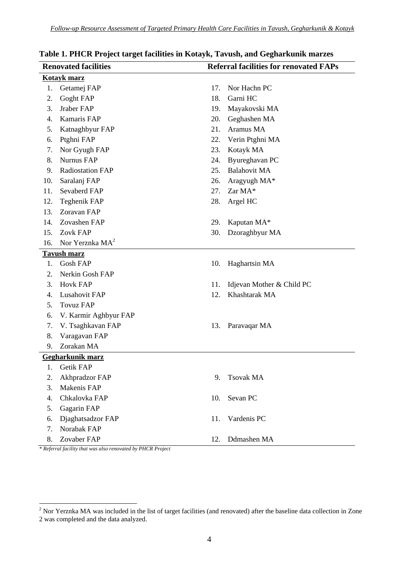|     | <b>Renovated facilities</b><br><b>Referral facilities for renovated FAPs</b> |     |                           |  |  |  |
|-----|------------------------------------------------------------------------------|-----|---------------------------|--|--|--|
|     | Kotayk marz                                                                  |     |                           |  |  |  |
| 1.  | Getamej FAP                                                                  | 17. | Nor Hachn PC              |  |  |  |
| 2.  | Goght FAP                                                                    | 18. | Garni HC                  |  |  |  |
| 3.  | Jraber FAP                                                                   | 19. | Mayakovski MA             |  |  |  |
| 4.  | Kamaris FAP                                                                  | 20. | Geghashen MA              |  |  |  |
| 5.  | Katnaghbyur FAP                                                              | 21. | Aramus MA                 |  |  |  |
| 6.  | Ptghni FAP                                                                   | 22. | Verin Ptghni MA           |  |  |  |
| 7.  | Nor Gyugh FAP                                                                | 23. | Kotayk MA                 |  |  |  |
| 8.  | <b>Nurnus FAP</b>                                                            | 24. | Byureghavan PC            |  |  |  |
| 9.  | <b>Radiostation FAP</b>                                                      | 25. | <b>Balahovit MA</b>       |  |  |  |
| 10. | Saralanj FAP                                                                 | 26. | Aragyugh MA*              |  |  |  |
| 11. | Sevaberd FAP                                                                 | 27. | Zar MA*                   |  |  |  |
| 12. | Teghenik FAP                                                                 | 28. | Argel HC                  |  |  |  |
| 13. | Zoravan FAP                                                                  |     |                           |  |  |  |
| 14. | Zovashen FAP                                                                 | 29. | Kaputan MA*               |  |  |  |
| 15. | Zovk FAP                                                                     | 30. | Dzoraghbyur MA            |  |  |  |
| 16. | Nor Yerznka $MA2$                                                            |     |                           |  |  |  |
|     | <b>Tavush marz</b>                                                           |     |                           |  |  |  |
| 1.  | <b>Gosh FAP</b>                                                              | 10. | Haghartsin MA             |  |  |  |
| 2.  | Nerkin Gosh FAP                                                              |     |                           |  |  |  |
| 3.  | <b>Hovk FAP</b>                                                              | 11. | Idjevan Mother & Child PC |  |  |  |
| 4.  | <b>Lusahovit FAP</b>                                                         | 12. | Khashtarak MA             |  |  |  |
| 5.  | <b>Tovuz FAP</b>                                                             |     |                           |  |  |  |
| 6.  | V. Karmir Aghbyur FAP                                                        |     |                           |  |  |  |
| 7.  | V. Tsaghkavan FAP                                                            | 13. | Paravaqar MA              |  |  |  |
| 8.  | Varagavan FAP                                                                |     |                           |  |  |  |
| 9.  | Zorakan MA                                                                   |     |                           |  |  |  |
|     | Gegharkunik marz                                                             |     |                           |  |  |  |
| 1.  | Getik FAP                                                                    |     |                           |  |  |  |
| 2.  | Akhpradzor FAP                                                               | 9.  | <b>Tsovak MA</b>          |  |  |  |
| 3.  | Makenis FAP                                                                  |     |                           |  |  |  |
| 4.  | Chkalovka FAP                                                                | 10. | Sevan PC                  |  |  |  |
| 5.  | Gagarin FAP                                                                  |     |                           |  |  |  |
| 6.  | Djaghatsadzor FAP                                                            | 11. | Vardenis PC               |  |  |  |
| 7.  | Norabak FAP                                                                  |     |                           |  |  |  |
| 8.  | Zovaber FAP                                                                  | 12. | Ddmashen MA               |  |  |  |
|     | * Referral facility that was also renovated by PHCR Project                  |     |                           |  |  |  |

## **Table 1. PHCR Project target facilities in Kotayk, Tavush, and Gegharkunik marzes**

<sup>&</sup>lt;sup>2</sup> Nor Yerznka MA was included in the list of target facilities (and renovated) after the baseline data collection in Zone 2 was completed and the data analyzed.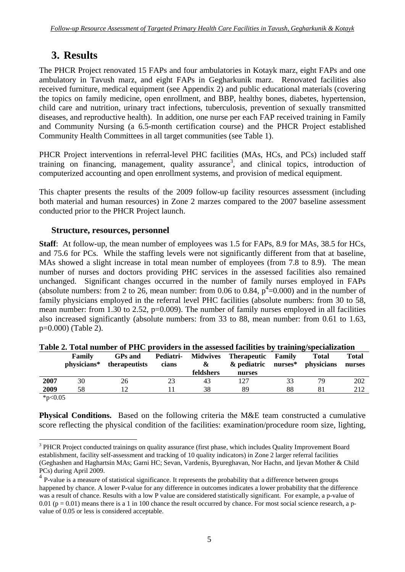## **3. Results**

The PHCR Project renovated 15 FAPs and four ambulatories in Kotayk marz, eight FAPs and one ambulatory in Tavush marz, and eight FAPs in Gegharkunik marz. Renovated facilities also received furniture, medical equipment (see Appendix 2) and public educational materials (covering the topics on family medicine, open enrollment, and BBP, healthy bones, diabetes, hypertension, child care and nutrition, urinary tract infections, tuberculosis, prevention of sexually transmitted diseases, and reproductive health). In addition, one nurse per each FAP received training in Family and Community Nursing (a 6.5-month certification course) and the PHCR Project established Community Health Committees in all target communities (see Table 1).

PHCR Project interventions in referral-level PHC facilities (MAs, HCs, and PCs) included staff training on financing, management, quality assurance<sup>3</sup>, and clinical topics, introduction of computerized accounting and open enrollment systems, and provision of medical equipment.

This chapter presents the results of the 2009 follow-up facility resources assessment (including both material and human resources) in Zone 2 marzes compared to the 2007 baseline assessment conducted prior to the PHCR Project launch.

## **Structure, resources, personnel**

**Staff**: At follow-up, the mean number of employees was 1.5 for FAPs, 8.9 for MAs, 38.5 for HCs, and 75.6 for PCs. While the staffing levels were not significantly different from that at baseline, MAs showed a slight increase in total mean number of employees (from 7.8 to 8.9). The mean number of nurses and doctors providing PHC services in the assessed facilities also remained unchanged. Significant changes occurred in the number of family nurses employed in FAPs (absolute numbers: from 2 to 26, mean number: from 0.06 to 0.84,  $p^4$ =0.000) and in the number of family physicians employed in the referral level PHC facilities (absolute numbers: from 30 to 58, mean number: from 1.30 to 2.52, p=0.009). The number of family nurses employed in all facilities also increased significantly (absolute numbers: from 33 to 88, mean number: from 0.61 to 1.63, p=0.000) (Table 2).

|      | Family<br>physicians* | <b>GPs</b> and<br>therapeutists | Pediatri-<br>cians | <b>Midwives</b><br>& | <b>Therapeutic Family</b><br>& pediatric | nurses* | Total<br>physicians | Total<br>nurses |
|------|-----------------------|---------------------------------|--------------------|----------------------|------------------------------------------|---------|---------------------|-----------------|
|      |                       |                                 |                    | feldshers            | nurses                                   |         |                     |                 |
| 2007 | 30                    | 26                              |                    | 43                   | 127                                      |         | 79                  | 202             |
| 2009 | 58                    |                                 |                    | 38                   | 89                                       | 88      |                     | 212             |
| .    |                       |                                 |                    |                      |                                          |         |                     |                 |

|  |  | Table 2. Total number of PHC providers in the assessed facilities by training/specialization |
|--|--|----------------------------------------------------------------------------------------------|
|--|--|----------------------------------------------------------------------------------------------|

 $*p<0.05$ 

**Physical Conditions.** Based on the following criteria the M&E team constructed a cumulative score reflecting the physical condition of the facilities: examination/procedure room size, lighting,

 $\overline{a}$ <sup>3</sup> PHCR Project conducted trainings on quality assurance (first phase, which includes Quality Improvement Board establishment, facility self-assessment and tracking of 10 quality indicators) in Zone 2 larger referral facilities (Geghashen and Haghartsin MAs; Garni HC; Sevan, Vardenis, Byureghavan, Nor Hachn, and Ijevan Mother & Child PCs) during April 2009.

<sup>&</sup>lt;sup>4</sup> P-value is a measure of statistical significance. It represents the probability that a difference between groups happened by chance. A lower P-value for any difference in outcomes indicates a lower probability that the difference was a result of chance. Results with a low P value are considered statistically significant. For example, a p-value of  $0.01$  (p = 0.01) means there is a 1 in 100 chance the result occurred by chance. For most social science research, a pvalue of 0.05 or less is considered acceptable.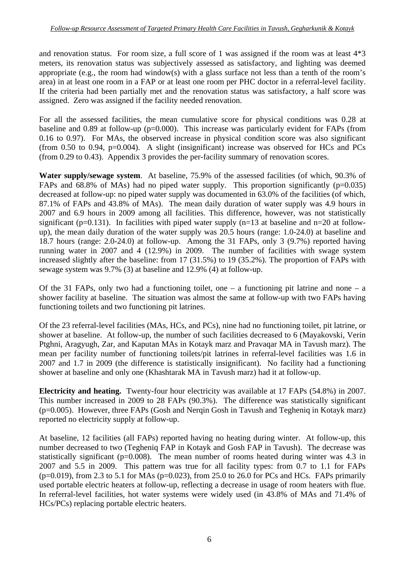and renovation status. For room size, a full score of 1 was assigned if the room was at least 4\*3 meters, its renovation status was subjectively assessed as satisfactory, and lighting was deemed appropriate (e.g., the room had window(s) with a glass surface not less than a tenth of the room's area) in at least one room in a FAP or at least one room per PHC doctor in a referral-level facility. If the criteria had been partially met and the renovation status was satisfactory, a half score was assigned. Zero was assigned if the facility needed renovation.

For all the assessed facilities, the mean cumulative score for physical conditions was 0.28 at baseline and 0.89 at follow-up (p=0.000). This increase was particularly evident for FAPs (from 0.16 to 0.97). For MAs, the observed increase in physical condition score was also significant (from 0.50 to 0.94,  $p=0.004$ ). A slight (insignificant) increase was observed for HCs and PCs (from 0.29 to 0.43). Appendix 3 provides the per-facility summary of renovation scores.

**Water supply/sewage system**. At baseline, 75.9% of the assessed facilities (of which, 90.3% of FAPs and 68.8% of MAs) had no piped water supply. This proportion significantly ( $p=0.035$ ) decreased at follow-up: no piped water supply was documented in 63.0% of the facilities (of which, 87.1% of FAPs and 43.8% of MAs). The mean daily duration of water supply was 4.9 hours in 2007 and 6.9 hours in 2009 among all facilities. This difference, however, was not statistically significant (p=0.131). In facilities with piped water supply (n=13 at baseline and n=20 at followup), the mean daily duration of the water supply was 20.5 hours (range: 1.0-24.0) at baseline and 18.7 hours (range: 2.0-24.0) at follow-up. Among the 31 FAPs, only 3 (9.7%) reported having running water in 2007 and 4 (12.9%) in 2009. The number of facilities with swage system increased slightly after the baseline: from 17 (31.5%) to 19 (35.2%). The proportion of FAPs with sewage system was 9.7% (3) at baseline and 12.9% (4) at follow-up.

Of the 31 FAPs, only two had a functioning toilet, one  $-$  a functioning pit latrine and none  $-$  a shower facility at baseline. The situation was almost the same at follow-up with two FAPs having functioning toilets and two functioning pit latrines.

Of the 23 referral-level facilities (MAs, HCs, and PCs), nine had no functioning toilet, pit latrine, or shower at baseline. At follow-up, the number of such facilities decreased to 6 (Mayakovski, Verin Ptghni, Aragyugh, Zar, and Kaputan MAs in Kotayk marz and Pravaqar MA in Tavush marz). The mean per facility number of functioning toilets/pit latrines in referral-level facilities was 1.6 in 2007 and 1.7 in 2009 (the difference is statistically insignificant). No facility had a functioning shower at baseline and only one (Khashtarak MA in Tavush marz) had it at follow-up.

**Electricity and heating.** Twenty-four hour electricity was available at 17 FAPs (54.8%) in 2007. This number increased in 2009 to 28 FAPs (90.3%). The difference was statistically significant (p=0.005). However, three FAPs (Gosh and Nerqin Gosh in Tavush and Tegheniq in Kotayk marz) reported no electricity supply at follow-up.

At baseline, 12 facilities (all FAPs) reported having no heating during winter. At follow-up, this number decreased to two (Tegheniq FAP in Kotayk and Gosh FAP in Tavush). The decrease was statistically significant ( $p=0.008$ ). The mean number of rooms heated during winter was 4.3 in 2007 and 5.5 in 2009. This pattern was true for all facility types: from 0.7 to 1.1 for FAPs  $(p=0.019)$ , from 2.3 to 5.1 for MAs  $(p=0.023)$ , from 25.0 to 26.0 for PCs and HCs. FAPs primarily used portable electric heaters at follow-up, reflecting a decrease in usage of room heaters with flue. In referral-level facilities, hot water systems were widely used (in 43.8% of MAs and 71.4% of HCs/PCs) replacing portable electric heaters.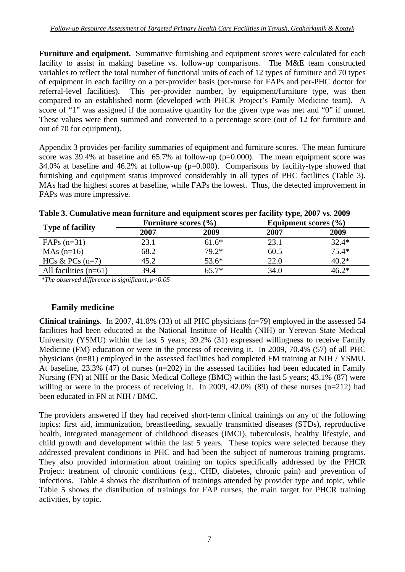**Furniture and equipment.** Summative furnishing and equipment scores were calculated for each facility to assist in making baseline vs. follow-up comparisons. The M&E team constructed variables to reflect the total number of functional units of each of 12 types of furniture and 70 types of equipment in each facility on a per-provider basis (per-nurse for FAPs and per-PHC doctor for referral-level facilities). This per-provider number, by equipment/furniture type, was then compared to an established norm (developed with PHCR Project's Family Medicine team). A score of "1" was assigned if the normative quantity for the given type was met and "0" if unmet. These values were then summed and converted to a percentage score (out of 12 for furniture and out of 70 for equipment).

Appendix 3 provides per-facility summaries of equipment and furniture scores. The mean furniture score was  $39.4\%$  at baseline and  $65.7\%$  at follow-up ( $p=0.000$ ). The mean equipment score was 34.0% at baseline and 46.2% at follow-up (p=0.000). Comparisons by facility-type showed that furnishing and equipment status improved considerably in all types of PHC facilities (Table 3). MAs had the highest scores at baseline, while FAPs the lowest. Thus, the detected improvement in FAPs was more impressive.

|                         | Furniture scores $(\% )$ |         |      | Equipment scores $(\% )$ |
|-------------------------|--------------------------|---------|------|--------------------------|
| <b>Type of facility</b> | 2007                     | 2009    | 2007 | 2009                     |
| $FAPs(n=31)$            | 23.1                     | $61.6*$ | 23.1 | $32.4*$                  |
| $MAs$ (n=16)            | 68.2                     | $79.2*$ | 60.5 | $75.4*$                  |
| HCs & PCs $(n=7)$       | 45.2                     | $53.6*$ | 22.0 | $40.2*$                  |
| All facilities $(n=61)$ | 39.4                     | $55.7*$ | 34.0 | 16 7*                    |

#### **Table 3. Cumulative mean furniture and equipment scores per facility type, 2007 vs. 2009**

*\*The observed difference is significant, p<0.05* 

## **Family medicine**

**Clinical trainings**. In 2007, 41.8% (33) of all PHC physicians (n=79) employed in the assessed 54 facilities had been educated at the National Institute of Health (NIH) or Yerevan State Medical University (YSMU) within the last 5 years; 39.2% (31) expressed willingness to receive Family Medicine (FM) education or were in the process of receiving it. In 2009, 70.4% (57) of all PHC physicians (n=81) employed in the assessed facilities had completed FM training at NIH / YSMU. At baseline, 23.3% (47) of nurses (n=202) in the assessed facilities had been educated in Family Nursing (FN) at NIH or the Basic Medical College (BMC) within the last 5 years; 43.1% (87) were willing or were in the process of receiving it. In 2009, 42.0% (89) of these nurses (n=212) had been educated in FN at NIH / BMC.

The providers answered if they had received short-term clinical trainings on any of the following topics: first aid, immunization, breastfeeding, sexually transmitted diseases (STDs), reproductive health, integrated management of childhood diseases (IMCI), tuberculosis, healthy lifestyle, and child growth and development within the last 5 years. These topics were selected because they addressed prevalent conditions in PHC and had been the subject of numerous training programs. They also provided information about training on topics specifically addressed by the PHCR Project: treatment of chronic conditions (e.g., CHD, diabetes, chronic pain) and prevention of infections. Table 4 shows the distribution of trainings attended by provider type and topic, while Table 5 shows the distribution of trainings for FAP nurses, the main target for PHCR training activities, by topic.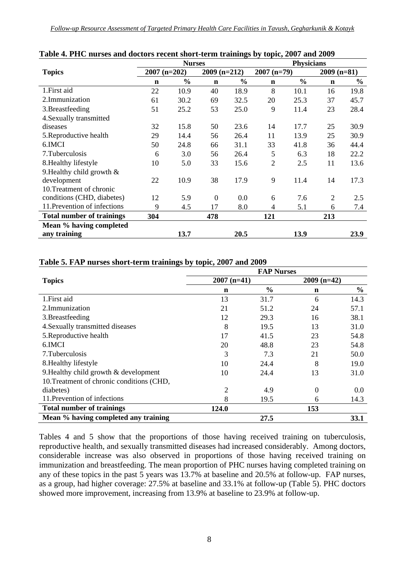|                                  |                                  | <b>Nurses</b> |                |               | <b>Physicians</b> |               |                |               |
|----------------------------------|----------------------------------|---------------|----------------|---------------|-------------------|---------------|----------------|---------------|
| <b>Topics</b>                    | $2009$ (n=212)<br>$2007$ (n=202) |               |                | $2007$ (n=79) |                   | $2009$ (n=81) |                |               |
|                                  | $\mathbf n$                      | $\frac{0}{0}$ | $\mathbf n$    | $\frac{0}{0}$ | $\mathbf n$       | $\frac{0}{0}$ | $\mathbf n$    | $\frac{0}{0}$ |
| 1. First aid                     | 22                               | 10.9          | 40             | 18.9          | 8                 | 10.1          | 16             | 19.8          |
| 2.Immunization                   | 61                               | 30.2          | 69             | 32.5          | 20                | 25.3          | 37             | 45.7          |
| 3. Breastfeeding                 | 51                               | 25.2          | 53             | 25.0          | 9                 | 11.4          | 23             | 28.4          |
| 4. Sexually transmitted          |                                  |               |                |               |                   |               |                |               |
| diseases                         | 32                               | 15.8          | 50             | 23.6          | 14                | 17.7          | 25             | 30.9          |
| 5. Reproductive health           | 29                               | 14.4          | 56             | 26.4          | 11                | 13.9          | 25             | 30.9          |
| 6.IMCI                           | 50                               | 24.8          | 66             | 31.1          | 33                | 41.8          | 36             | 44.4          |
| 7. Tuberculosis                  | 6                                | 3.0           | 56             | 26.4          | 5                 | 6.3           | 18             | 22.2          |
| 8. Healthy lifestyle             | 10                               | 5.0           | 33             | 15.6          | $\overline{2}$    | 2.5           | 11             | 13.6          |
| 9. Healthy child growth $\&$     |                                  |               |                |               |                   |               |                |               |
| development                      | 22                               | 10.9          | 38             | 17.9          | 9                 | 11.4          | 14             | 17.3          |
| 10. Treatment of chronic         |                                  |               |                |               |                   |               |                |               |
| conditions (CHD, diabetes)       | 12                               | 5.9           | $\overline{0}$ | 0.0           | 6                 | 7.6           | $\overline{2}$ | 2.5           |
| 11. Prevention of infections     | 9                                | 4.5           | 17             | 8.0           | 4                 | 5.1           | 6              | 7.4           |
| <b>Total number of trainings</b> | 304                              |               | 478            |               | 121               |               | 213            |               |
| Mean % having completed          |                                  |               |                |               |                   |               |                |               |
| any training                     |                                  | 13.7          |                | 20.5          |                   | 13.9          |                | 23.9          |

#### **Table 4. PHC nurses and doctors recent short-term trainings by topic, 2007 and 2009**

#### **Table 5. FAP nurses short-term trainings by topic, 2007 and 2009**

|                                           |               | <b>FAP Nurses</b> |               |               |
|-------------------------------------------|---------------|-------------------|---------------|---------------|
| <b>Topics</b>                             | $2007$ (n=41) |                   | $2009$ (n=42) |               |
|                                           | n             | $\frac{0}{0}$     | n             | $\frac{6}{9}$ |
| 1. First aid                              | 13            | 31.7              | 6             | 14.3          |
| 2. Immunization                           | 21            | 51.2              | 24            | 57.1          |
| 3. Breastfeeding                          | 12            | 29.3              | 16            | 38.1          |
| 4. Sexually transmitted diseases          | 8             | 19.5              | 13            | 31.0          |
| 5. Reproductive health                    | 17            | 41.5              | 23            | 54.8          |
| 6.IMCI                                    | 20            | 48.8              | 23            | 54.8          |
| 7. Tuberculosis                           | 3             | 7.3               | 21            | 50.0          |
| 8. Healthy lifestyle                      | 10            | 24.4              | 8             | 19.0          |
| 9. Healthy child growth & development     | 10            | 24.4              | 13            | 31.0          |
| 10. Treatment of chronic conditions (CHD, |               |                   |               |               |
| diabetes)                                 | 2             | 4.9               | $\theta$      | 0.0           |
| 11. Prevention of infections              | 8             | 19.5              | 6             | 14.3          |
| <b>Total number of trainings</b>          | 124.0         |                   | 153           |               |
| Mean % having completed any training      |               | 27.5              |               | 33.1          |

Tables 4 and 5 show that the proportions of those having received training on tuberculosis, reproductive health, and sexually transmitted diseases had increased considerably. Among doctors, considerable increase was also observed in proportions of those having received training on immunization and breastfeeding. The mean proportion of PHC nurses having completed training on any of these topics in the past  $\frac{5}{9}$  years was 13.7% at baseline and 20.5% at follow-up. FAP nurses, as a group, had higher coverage: 27.5% at baseline and 33.1% at follow-up (Table 5). PHC doctors showed more improvement, increasing from 13.9% at baseline to 23.9% at follow-up.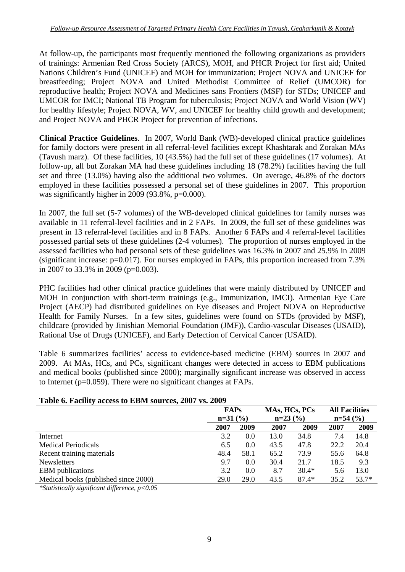At follow-up, the participants most frequently mentioned the following organizations as providers of trainings: Armenian Red Cross Society (ARCS), MOH, and PHCR Project for first aid; United Nations Children's Fund (UNICEF) and MOH for immunization; Project NOVA and UNICEF for breastfeeding; Project NOVA and United Methodist Committee of Relief (UMCOR) for reproductive health; Project NOVA and Medicines sans Frontiers (MSF) for STDs; UNICEF and UMCOR for IMCI; National TB Program for tuberculosis; Project NOVA and World Vision (WV) for healthy lifestyle; Project NOVA, WV, and UNICEF for healthy child growth and development; and Project NOVA and PHCR Project for prevention of infections.

**Clinical Practice Guidelines**. In 2007, World Bank (WB)-developed clinical practice guidelines for family doctors were present in all referral-level facilities except Khashtarak and Zorakan MAs (Tavush marz). Of these facilities, 10 (43.5%) had the full set of these guidelines (17 volumes). At follow-up, all but Zorakan MA had these guidelines including 18 (78.2%) facilities having the full set and three (13.0%) having also the additional two volumes. On average, 46.8% of the doctors employed in these facilities possessed a personal set of these guidelines in 2007. This proportion was significantly higher in 2009 (93.8%,  $p=0.000$ ).

In 2007, the full set (5-7 volumes) of the WB-developed clinical guidelines for family nurses was available in 11 referral-level facilities and in 2 FAPs. In 2009, the full set of these guidelines was present in 13 referral-level facilities and in 8 FAPs. Another 6 FAPs and 4 referral-level facilities possessed partial sets of these guidelines (2-4 volumes). The proportion of nurses employed in the assessed facilities who had personal sets of these guidelines was 16.3% in 2007 and 25.9% in 2009 (significant increase: p=0.017). For nurses employed in FAPs, this proportion increased from 7.3% in 2007 to 33.3% in 2009 (p=0.003).

PHC facilities had other clinical practice guidelines that were mainly distributed by UNICEF and MOH in conjunction with short-term trainings (e.g., Immunization, IMCI). Armenian Eye Care Project (AECP) had distributed guidelines on Eye diseases and Project NOVA on Reproductive Health for Family Nurses. In a few sites, guidelines were found on STDs (provided by MSF), childcare (provided by Jinishian Memorial Foundation (JMF)), Cardio-vascular Diseases (USAID), Rational Use of Drugs (UNICEF), and Early Detection of Cervical Cancer (USAID).

Table 6 summarizes facilities' access to evidence-based medicine (EBM) sources in 2007 and 2009. At MAs, HCs, and PCs, significant changes were detected in access to EBM publications and medical books (published since 2000); marginally significant increase was observed in access to Internet (p=0.059). There were no significant changes at FAPs.

#### **Table 6. Facility access to EBM sources, 2007 vs. 2009**

|                                      | <b>FAPs</b> |      | MAs, HCs, PCs |         | <b>All Facilities</b> |         |
|--------------------------------------|-------------|------|---------------|---------|-----------------------|---------|
|                                      | $n=31$ (%)  |      | $n=23$ (%)    |         | $n=54$ (%)            |         |
|                                      | 2007        | 2009 | 2007          | 2009    | 2007                  | 2009    |
| Internet                             | 3.2         | 0.0  | 13.0          | 34.8    | 7.4                   | 14.8    |
| <b>Medical Periodicals</b>           | 6.5         | 0.0  | 43.5          | 47.8    | 22.2                  | 20.4    |
| Recent training materials            | 48.4        | 58.1 | 65.2          | 73.9    | 55.6                  | 64.8    |
| <b>Newsletters</b>                   | 9.7         | 0.0  | 30.4          | 21.7    | 18.5                  | 9.3     |
| <b>EBM</b> publications              | 3.2         | 0.0  | 8.7           | $30.4*$ | 5.6                   | 13.0    |
| Medical books (published since 2000) | 29.0        | 29.0 | 43.5          | $87.4*$ | 35.2                  | $53.7*$ |

*\*Statistically significant difference, p<0.05*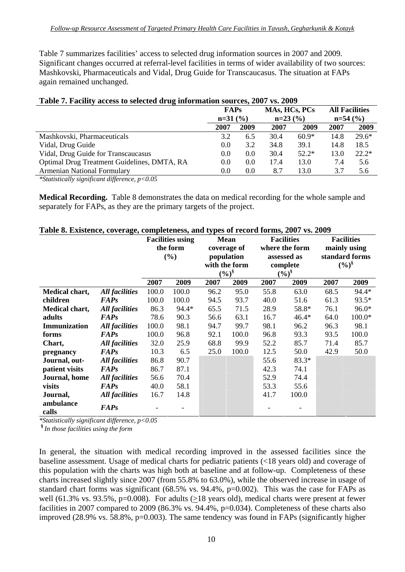Table 7 summarizes facilities' access to selected drug information sources in 2007 and 2009. Significant changes occurred at referral-level facilities in terms of wider availability of two sources: Mashkovski, Pharmaceuticals and Vidal, Drug Guide for Transcaucasus. The situation at FAPs again remained unchanged.

| <b>Table 7. Pacifity access to science in ug information sources, 2007 vs. 2007</b> |             |      |               |         |            |                       |
|-------------------------------------------------------------------------------------|-------------|------|---------------|---------|------------|-----------------------|
|                                                                                     | <b>FAPs</b> |      | MAs, HCs, PCs |         |            | <b>All Facilities</b> |
|                                                                                     | $n=31$ (%)  |      | $n=23(%)$     |         | $n=54$ (%) |                       |
|                                                                                     | 2007        | 2009 | 2007          | 2009    | 2007       | 2009                  |
| Mashkovski, Pharmaceuticals                                                         | 3.2         | 6.5  | 30.4          | $60.9*$ | 14.8       | $29.6*$               |
| Vidal, Drug Guide                                                                   | 0.0         | 3.2  | 34.8          | 39.1    | 14.8       | 18.5                  |
| Vidal, Drug Guide for Transcaucasus                                                 | 0.0         | 0.0  | 30.4          | $52.2*$ | 13.0       | $22.2*$               |
| Optimal Drug Treatment Guidelines, DMTA, RA                                         | 0.0         | 0.0  | 17.4          | 13.0    | 7.4        | 5.6                   |
| <b>Armenian National Formulary</b>                                                  | 0.0         | 0.0  | 8.7           | 13.0    | 3.7        | 5.6                   |
|                                                                                     |             |      |               |         |            |                       |

### **Table 7. Facility access to selected drug information sources, 2007 vs. 2009**

*\*Statistically significant difference, p<0.05* 

**Medical Recording.** Table 8 demonstrates the data on medical recording for the whole sample and separately for FAPs, as they are the primary targets of the project.

| Table 8. Existence, coverage, completeness, and types of record forms, 2007 vs. 2009 |                       |       |                         |      |               |      |                   |      |                   |
|--------------------------------------------------------------------------------------|-----------------------|-------|-------------------------|------|---------------|------|-------------------|------|-------------------|
|                                                                                      |                       |       | <b>Facilities using</b> |      | <b>Mean</b>   |      | <b>Facilities</b> |      | <b>Facilities</b> |
|                                                                                      |                       |       | the form                |      | coverage of   |      | where the form    |      | mainly using      |
|                                                                                      |                       |       | (%)                     |      | population    |      | assessed as       |      | standard forms    |
|                                                                                      |                       |       |                         |      | with the form |      | complete          |      | $(\frac{6}{9})^8$ |
|                                                                                      |                       |       |                         |      | $(\%)^{\S}$   |      | $(\frac{6}{6})^8$ |      |                   |
|                                                                                      |                       | 2007  | 2009                    | 2007 | 2009          | 2007 | 2009              | 2007 | 2009              |
| Medical chart,                                                                       | <b>All facilities</b> | 100.0 | 100.0                   | 96.2 | 95.0          | 55.8 | 63.0              | 68.5 | 94.4*             |
| children                                                                             | <b>FAPs</b>           | 100.0 | 100.0                   | 94.5 | 93.7          | 40.0 | 51.6              | 61.3 | 93.5*             |
| Medical chart,                                                                       | <b>All facilities</b> | 86.3  | 94.4*                   | 65.5 | 71.5          | 28.9 | 58.8*             | 76.1 | 96.0*             |
| adults                                                                               | <b>FAPs</b>           | 78.6  | 90.3                    | 56.6 | 63.1          | 16.7 | $46.4*$           | 64.0 | $100.0*$          |
| Immunization                                                                         | <b>All facilities</b> | 100.0 | 98.1                    | 94.7 | 99.7          | 98.1 | 96.2              | 96.3 | 98.1              |
| forms                                                                                | <b>FAPs</b>           | 100.0 | 96.8                    | 92.1 | 100.0         | 96.8 | 93.3              | 93.5 | 100.0             |
| Chart,                                                                               | <b>All facilities</b> | 32.0  | 25.9                    | 68.8 | 99.9          | 52.2 | 85.7              | 71.4 | 85.7              |
| pregnancy                                                                            | <b>FAPs</b>           | 10.3  | 6.5                     | 25.0 | 100.0         | 12.5 | 50.0              | 42.9 | 50.0              |
| Journal, out-                                                                        | All facilities        | 86.8  | 90.7                    |      |               | 55.6 | $83.3*$           |      |                   |
| patient visits                                                                       | <b>FAPs</b>           | 86.7  | 87.1                    |      |               | 42.3 | 74.1              |      |                   |
| Journal, home                                                                        | <b>All facilities</b> | 56.6  | 70.4                    |      |               | 52.9 | 74.4              |      |                   |
| visits                                                                               | <b>FAPs</b>           | 40.0  | 58.1                    |      |               | 53.3 | 55.6              |      |                   |
| Journal,                                                                             | <b>All facilities</b> | 16.7  | 14.8                    |      |               | 41.7 | 100.0             |      |                   |
| ambulance                                                                            |                       |       |                         |      |               |      |                   |      |                   |
| calls                                                                                | <b>FAPs</b>           |       |                         |      |               |      |                   |      |                   |

**Table 8. Existence, coverage, completeness, and types of record forms, 2007 vs. 2009** 

*\*Statistically significant difference, p<0.05* 

**§** *In those facilities using the form* 

In general, the situation with medical recording improved in the assessed facilities since the baseline assessment. Usage of medical charts for pediatric patients (<18 years old) and coverage of this population with the charts was high both at baseline and at follow-up. Completeness of these charts increased slightly since 2007 (from 55.8% to 63.0%), while the observed increase in usage of standard chart forms was significant (68.5% vs. 94.4%, p=0.002). This was the case for FAPs as well (61.3% vs. 93.5%, p=0.008). For adults (>18 years old), medical charts were present at fewer facilities in 2007 compared to 2009 (86.3% vs. 94.4%, p=0.034). Completeness of these charts also improved (28.9% vs. 58.8%, p=0.003). The same tendency was found in FAPs (significantly higher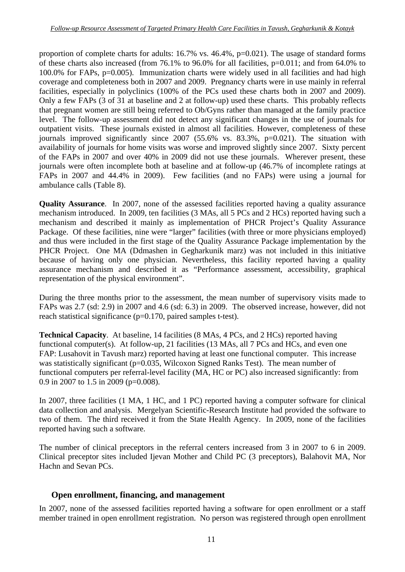proportion of complete charts for adults: 16.7% vs. 46.4%, p=0.021). The usage of standard forms of these charts also increased (from 76.1% to 96.0% for all facilities, p=0.011; and from 64.0% to 100.0% for FAPs, p=0.005). Immunization charts were widely used in all facilities and had high coverage and completeness both in 2007 and 2009. Pregnancy charts were in use mainly in referral facilities, especially in polyclinics (100% of the PCs used these charts both in 2007 and 2009). Only a few FAPs (3 of 31 at baseline and 2 at follow-up) used these charts. This probably reflects that pregnant women are still being referred to Ob/Gyns rather than managed at the family practice level. The follow-up assessment did not detect any significant changes in the use of journals for outpatient visits. These journals existed in almost all facilities. However, completeness of these journals improved significantly since  $2007$  (55.6% vs. 83.3%, p=0.021). The situation with availability of journals for home visits was worse and improved slightly since 2007. Sixty percent of the FAPs in 2007 and over 40% in 2009 did not use these journals. Wherever present, these journals were often incomplete both at baseline and at follow-up (46.7% of incomplete ratings at FAPs in 2007 and 44.4% in 2009). Few facilities (and no FAPs) were using a journal for ambulance calls (Table 8).

**Quality Assurance**. In 2007, none of the assessed facilities reported having a quality assurance mechanism introduced. In 2009, ten facilities (3 MAs, all 5 PCs and 2 HCs) reported having such a mechanism and described it mainly as implementation of PHCR Project's Quality Assurance Package. Of these facilities, nine were "larger" facilities (with three or more physicians employed) and thus were included in the first stage of the Quality Assurance Package implementation by the PHCR Project. One MA (Ddmashen in Gegharkunik marz) was not included in this initiative because of having only one physician. Nevertheless, this facility reported having a quality assurance mechanism and described it as "Performance assessment, accessibility, graphical representation of the physical environment".

During the three months prior to the assessment, the mean number of supervisory visits made to FAPs was 2.7 (sd: 2.9) in 2007 and 4.6 (sd: 6.3) in 2009. The observed increase, however, did not reach statistical significance (p=0.170, paired samples t-test).

**Technical Capacity**. At baseline, 14 facilities (8 MAs, 4 PCs, and 2 HCs) reported having functional computer(s). At follow-up, 21 facilities (13 MAs, all 7 PCs and HCs, and even one FAP: Lusahovit in Tavush marz) reported having at least one functional computer. This increase was statistically significant (p=0.035, Wilcoxon Signed Ranks Test). The mean number of functional computers per referral-level facility (MA, HC or PC) also increased significantly: from 0.9 in 2007 to 1.5 in 2009 (p=0.008).

In 2007, three facilities (1 MA, 1 HC, and 1 PC) reported having a computer software for clinical data collection and analysis. Mergelyan Scientific-Research Institute had provided the software to two of them. The third received it from the State Health Agency. In 2009, none of the facilities reported having such a software.

The number of clinical preceptors in the referral centers increased from 3 in 2007 to 6 in 2009. Clinical preceptor sites included Ijevan Mother and Child PC (3 preceptors), Balahovit MA, Nor Hachn and Sevan PCs.

## **Open enrollment, financing, and management**

In 2007, none of the assessed facilities reported having a software for open enrollment or a staff member trained in open enrollment registration. No person was registered through open enrollment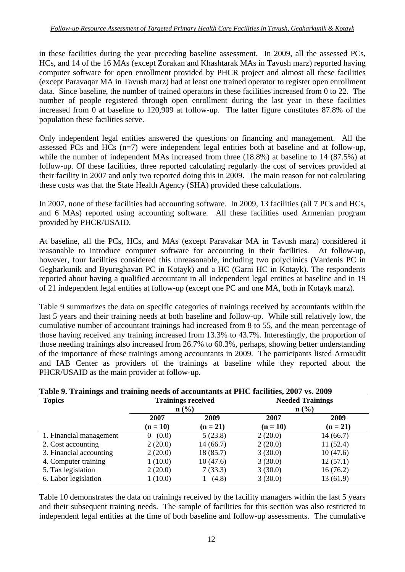in these facilities during the year preceding baseline assessment. In 2009, all the assessed PCs, HCs, and 14 of the 16 MAs (except Zorakan and Khashtarak MAs in Tavush marz) reported having computer software for open enrollment provided by PHCR project and almost all these facilities (except Paravaqar MA in Tavush marz) had at least one trained operator to register open enrollment data. Since baseline, the number of trained operators in these facilities increased from 0 to 22. The number of people registered through open enrollment during the last year in these facilities increased from 0 at baseline to 120,909 at follow-up. The latter figure constitutes 87.8% of the population these facilities serve.

Only independent legal entities answered the questions on financing and management. All the assessed PCs and HCs (n=7) were independent legal entities both at baseline and at follow-up, while the number of independent MAs increased from three (18.8%) at baseline to 14 (87.5%) at follow-up. Of these facilities, three reported calculating regularly the cost of services provided at their facility in 2007 and only two reported doing this in 2009. The main reason for not calculating these costs was that the State Health Agency (SHA) provided these calculations.

In 2007, none of these facilities had accounting software. In 2009, 13 facilities (all 7 PCs and HCs, and 6 MAs) reported using accounting software. All these facilities used Armenian program provided by PHCR/USAID.

At baseline, all the PCs, HCs, and MAs (except Paravakar MA in Tavush marz) considered it reasonable to introduce computer software for accounting in their facilities. At follow-up, however, four facilities considered this unreasonable, including two polyclinics (Vardenis PC in Gegharkunik and Byureghavan PC in Kotayk) and a HC (Garni HC in Kotayk). The respondents reported about having a qualified accountant in all independent legal entities at baseline and in 19 of 21 independent legal entities at follow-up (except one PC and one MA, both in Kotayk marz).

Table 9 summarizes the data on specific categories of trainings received by accountants within the last 5 years and their training needs at both baseline and follow-up. While still relatively low, the cumulative number of accountant trainings had increased from 8 to 55, and the mean percentage of those having received any training increased from 13.3% to 43.7%. Interestingly, the proportion of those needing trainings also increased from 26.7% to 60.3%, perhaps, showing better understanding of the importance of these trainings among accountants in 2009. The participants listed Armaudit and IAB Center as providers of the trainings at baseline while they reported about the PHCR/USAID as the main provider at follow-up.

| <b>Topics</b>           | $n\left(\frac{0}{0}\right)$ | <b>Trainings received</b> |                    | <b>Needed Trainings</b><br>$n\left(\frac{9}{6}\right)$ |
|-------------------------|-----------------------------|---------------------------|--------------------|--------------------------------------------------------|
|                         | 2007<br>$(n = 10)$          | 2009<br>$(n = 21)$        | 2007<br>$(n = 10)$ | 2009<br>$(n = 21)$                                     |
| 1. Financial management | (0.0)<br>$\theta$           | 5(23.8)                   | 2(20.0)            | 14(66.7)                                               |
| 2. Cost accounting      | 2(20.0)                     | 14 (66.7)                 | 2(20.0)            | 11(52.4)                                               |
| 3. Financial accounting | 2(20.0)                     | 18 (85.7)                 | 3(30.0)            | 10(47.6)                                               |
| 4. Computer training    | 1(10.0)                     | 10(47.6)                  | 3(30.0)            | 12(57.1)                                               |
| 5. Tax legislation      | 2(20.0)                     | 7(33.3)                   | 3(30.0)            | 16(76.2)                                               |
| 6. Labor legislation    | 1(10.0)                     | (4.8)                     | 3(30.0)            | 13(61.9)                                               |

## **Table 9. Trainings and training needs of accountants at PHC facilities, 2007 vs. 2009**

Table 10 demonstrates the data on trainings received by the facility managers within the last 5 years and their subsequent training needs. The sample of facilities for this section was also restricted to independent legal entities at the time of both baseline and follow-up assessments. The cumulative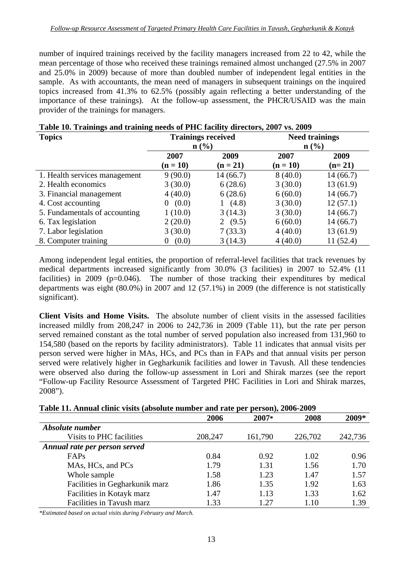number of inquired trainings received by the facility managers increased from 22 to 42, while the mean percentage of those who received these trainings remained almost unchanged (27.5% in 2007 and 25.0% in 2009) because of more than doubled number of independent legal entities in the sample. As with accountants, the mean need of managers in subsequent trainings on the inquired topics increased from 41.3% to 62.5% (possibly again reflecting a better understanding of the importance of these trainings). At the follow-up assessment, the PHCR/USAID was the main provider of the trainings for managers.

| <b>Topics</b>                 | <b>Trainings received</b> |            | <b>Need trainings</b> |          |
|-------------------------------|---------------------------|------------|-----------------------|----------|
|                               | n (% )                    |            | $\mathbf{n}(\%)$      |          |
|                               | 2007                      | 2009       | 2007                  | 2009     |
|                               | $(n = 10)$                | $(n = 21)$ | $(n = 10)$            | $(n=21)$ |
| 1. Health services management | 9(90.0)                   | 14(66.7)   | 8(40.0)               | 14(66.7) |
| 2. Health economics           | 3(30.0)                   | 6(28.6)    | 3(30.0)               | 13(61.9) |
| 3. Financial management       | 4(40.0)                   | 6(28.6)    | 6(60.0)               | 14(66.7) |
| 4. Cost accounting            | (0.0)<br>$\theta$         | (4.8)      | 3(30.0)               | 12(57.1) |
| 5. Fundamentals of accounting | 1(10.0)                   | 3(14.3)    | 3(30.0)               | 14(66.7) |
| 6. Tax legislation            | 2(20.0)                   | 2 $(9.5)$  | 6(60.0)               | 14(66.7) |
| 7. Labor legislation          | 3(30.0)                   | 7(33.3)    | 4(40.0)               | 13(61.9) |
| 8. Computer training          | (0.0)<br>$\theta$         | 3(14.3)    | 4(40.0)               | 11(52.4) |

| Table 10. Trainings and training needs of PHC facility directors, 2007 vs. 2009 |  |
|---------------------------------------------------------------------------------|--|
|---------------------------------------------------------------------------------|--|

Among independent legal entities, the proportion of referral-level facilities that track revenues by medical departments increased significantly from 30.0% (3 facilities) in 2007 to 52.4% (11 facilities) in 2009 ( $p=0.046$ ). The number of those tracking their expenditures by medical departments was eight (80.0%) in 2007 and 12 (57.1%) in 2009 (the difference is not statistically significant).

**Client Visits and Home Visits.** The absolute number of client visits in the assessed facilities increased mildly from 208,247 in 2006 to 242,736 in 2009 (Table 11), but the rate per person served remained constant as the total number of served population also increased from 131,960 to 154,580 (based on the reports by facility administrators). Table 11 indicates that annual visits per person served were higher in MAs, HCs, and PCs than in FAPs and that annual visits per person served were relatively higher in Gegharkunik facilities and lower in Tavush. All these tendencies were observed also during the follow-up assessment in Lori and Shirak marzes (see the report "Follow-up Facility Resource Assessment of Targeted PHC Facilities in Lori and Shirak marzes, 2008").

| Table 11. Annual clinic visits (absolute number and rate per person), 2006-2009 |  |  |
|---------------------------------------------------------------------------------|--|--|
|---------------------------------------------------------------------------------|--|--|

|                                | 2006    | 2007*   | 2008    | 2009*   |
|--------------------------------|---------|---------|---------|---------|
| Absolute number                |         |         |         |         |
| Visits to PHC facilities       | 208,247 | 161,790 | 226,702 | 242,736 |
| Annual rate per person served  |         |         |         |         |
| FAPs                           | 0.84    | 0.92    | 1.02    | 0.96    |
| MAs, HCs, and PCs              | 1.79    | 1.31    | 1.56    | 1.70    |
| Whole sample                   | 1.58    | 1.23    | 1.47    | 1.57    |
| Facilities in Gegharkunik marz | 1.86    | 1.35    | 1.92    | 1.63    |
| Facilities in Kotayk marz      | 1.47    | 1.13    | 1.33    | 1.62    |
| Facilities in Tavush marz      | 1.33    | 127     | 1.10    | 1.39    |

*\*Estimated based on actual visits during February and March.*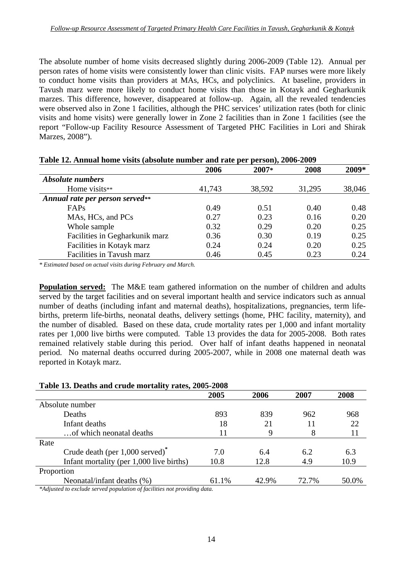The absolute number of home visits decreased slightly during 2006-2009 (Table 12). Annual per person rates of home visits were consistently lower than clinic visits. FAP nurses were more likely to conduct home visits than providers at MAs, HCs, and polyclinics. At baseline, providers in Tavush marz were more likely to conduct home visits than those in Kotayk and Gegharkunik marzes. This difference, however, disappeared at follow-up. Again, all the revealed tendencies were observed also in Zone 1 facilities, although the PHC services' utilization rates (both for clinic visits and home visits) were generally lower in Zone 2 facilities than in Zone 1 facilities (see the report "Follow-up Facility Resource Assessment of Targeted PHC Facilities in Lori and Shirak Marzes, 2008").

|                                 | 2006   | 2007*  | 2008   | 2009*  |  |
|---------------------------------|--------|--------|--------|--------|--|
| <b>Absolute numbers</b>         |        |        |        |        |  |
| Home visits**                   | 41,743 | 38,592 | 31,295 | 38,046 |  |
| Annual rate per person served** |        |        |        |        |  |
| FAPs                            | 0.49   | 0.51   | 0.40   | 0.48   |  |
| MAs, HCs, and PCs               | 0.27   | 0.23   | 0.16   | 0.20   |  |
| Whole sample                    | 0.32   | 0.29   | 0.20   | 0.25   |  |
| Facilities in Gegharkunik marz  | 0.36   | 0.30   | 0.19   | 0.25   |  |
| Facilities in Kotayk marz       | 0.24   | 0.24   | 0.20   | 0.25   |  |
| Facilities in Tavush marz       | 0.46   | 0.45   | 0.23   | 0.24   |  |

**Table 12. Annual home visits (absolute number and rate per person), 2006-2009** 

*\* Estimated based on actual visits during February and March.* 

**Population served:** The M&E team gathered information on the number of children and adults served by the target facilities and on several important health and service indicators such as annual number of deaths (including infant and maternal deaths), hospitalizations, pregnancies, term lifebirths, preterm life-births, neonatal deaths, delivery settings (home, PHC facility, maternity), and the number of disabled. Based on these data, crude mortality rates per 1,000 and infant mortality rates per 1,000 live births were computed. Table 13 provides the data for 2005-2008. Both rates remained relatively stable during this period. Over half of infant deaths happened in neonatal period. No maternal deaths occurred during 2005-2007, while in 2008 one maternal death was reported in Kotayk marz.

#### **Table 13. Deaths and crude mortality rates, 2005-2008**

|                                             | 2005  | 2006  | 2007  | 2008  |
|---------------------------------------------|-------|-------|-------|-------|
| Absolute number                             |       |       |       |       |
| Deaths                                      | 893   | 839   | 962   | 968   |
| Infant deaths                               | 18    | 21    | 11    | 22    |
| of which neonatal deaths                    | 11    | 9     | 8     | 11    |
| Rate                                        |       |       |       |       |
| Crude death (per 1,000 served) <sup>*</sup> | 7.0   | 6.4   | 6.2   | 6.3   |
| Infant mortality (per 1,000 live births)    | 10.8  | 12.8  | 4.9   | 10.9  |
| Proportion                                  |       |       |       |       |
| Neonatal/infant deaths (%)                  | 61.1% | 42.9% | 72.7% | 50.0% |

*\*Adjusted to exclude served population of facilities not providing data.*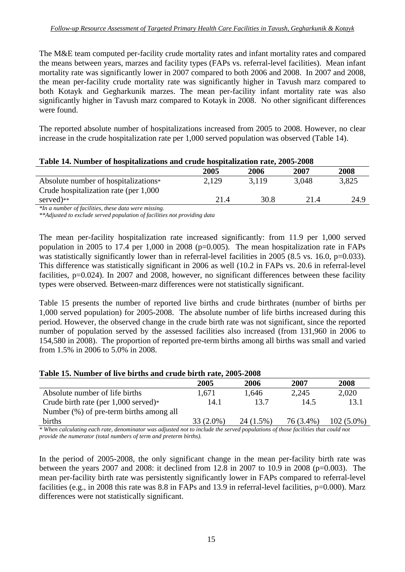The M&E team computed per-facility crude mortality rates and infant mortality rates and compared the means between years, marzes and facility types (FAPs vs. referral-level facilities). Mean infant mortality rate was significantly lower in 2007 compared to both 2006 and 2008. In 2007 and 2008, the mean per-facility crude mortality rate was significantly higher in Tavush marz compared to both Kotayk and Gegharkunik marzes. The mean per-facility infant mortality rate was also significantly higher in Tavush marz compared to Kotayk in 2008. No other significant differences were found.

The reported absolute number of hospitalizations increased from 2005 to 2008. However, no clear increase in the crude hospitalization rate per 1,000 served population was observed (Table 14).

| Table 14. Number of hospitalizations and crude hospitalization rate, 2005-2008 |       |       |       |  |  |
|--------------------------------------------------------------------------------|-------|-------|-------|--|--|
| 2005                                                                           | 2006  | 2007  | 2008  |  |  |
| 2.129                                                                          | 3.119 | 3.048 | 3,825 |  |  |
|                                                                                |       |       |       |  |  |
| 21.4                                                                           | 30.8  | 21.4  | 24.9  |  |  |
|                                                                                |       |       |       |  |  |

*\*In a number of facilities, these data were missing.* 

*\*\*Adjusted to exclude served population of facilities not providing data* 

The mean per-facility hospitalization rate increased significantly: from 11.9 per 1,000 served population in 2005 to 17.4 per 1,000 in 2008 ( $p=0.005$ ). The mean hospitalization rate in FAPs was statistically significantly lower than in referral-level facilities in 2005 (8.5 vs. 16.0, p=0.033). This difference was statistically significant in 2006 as well (10.2 in FAPs vs. 20.6 in referral-level facilities, p=0.024). In 2007 and 2008, however, no significant differences between these facility types were observed. Between-marz differences were not statistically significant.

Table 15 presents the number of reported live births and crude birthrates (number of births per 1,000 served population) for 2005-2008. The absolute number of life births increased during this period. However, the observed change in the crude birth rate was not significant, since the reported number of population served by the assessed facilities also increased (from 131,960 in 2006 to 154,580 in 2008). The proportion of reported pre-term births among all births was small and varied from 1.5% in 2006 to 5.0% in 2008.

|                                         | 2005        | 2006        | 2007      | 2008         |
|-----------------------------------------|-------------|-------------|-----------|--------------|
| Absolute number of life births          | 1.671       | 1,646       | 2,245     | 2,020        |
| Crude birth rate (per $1,000$ served)*  | 14.1        | 13.7        | 14.5      | 13.1         |
| Number (%) of pre-term births among all |             |             |           |              |
| births                                  | $33(2.0\%)$ | $24(1.5\%)$ | 76 (3.4%) | $102(5.0\%)$ |

*\* When calculating each rate, denominator was adjusted not to include the served populations of those facilities that could not provide the numerator (total numbers of term and preterm births).* 

In the period of 2005-2008, the only significant change in the mean per-facility birth rate was between the years 2007 and 2008: it declined from 12.8 in 2007 to 10.9 in 2008 (p=0.003). The mean per-facility birth rate was persistently significantly lower in FAPs compared to referral-level facilities (e.g., in 2008 this rate was 8.8 in FAPs and 13.9 in referral-level facilities, p=0.000). Marz differences were not statistically significant.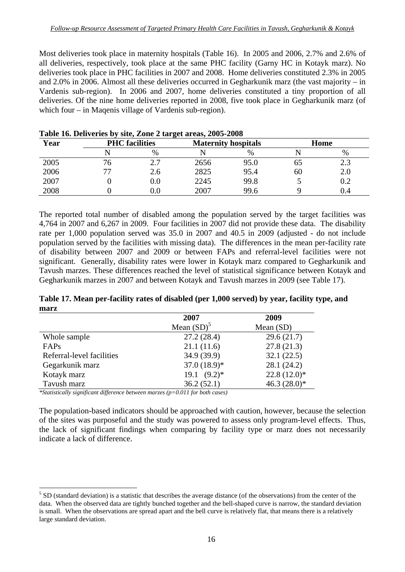Most deliveries took place in maternity hospitals (Table 16). In 2005 and 2006, 2.7% and 2.6% of all deliveries, respectively, took place at the same PHC facility (Garny HC in Kotayk marz). No deliveries took place in PHC facilities in 2007 and 2008. Home deliveries constituted 2.3% in 2005 and 2.0% in 2006. Almost all these deliveries occurred in Gegharkunik marz (the vast majority – in Vardenis sub-region). In 2006 and 2007, home deliveries constituted a tiny proportion of all deliveries. Of the nine home deliveries reported in 2008, five took place in Gegharkunik marz (of which four – in Magenis village of Vardenis sub-region).

| Year |    | <b>PHC</b> facilities |      | <b>Maternity hospitals</b> |    | Home      |
|------|----|-----------------------|------|----------------------------|----|-----------|
|      |    | $\%$                  |      | $\%$                       |    | %         |
| 2005 | 76 | 2.7                   | 2656 | 95.0                       | ხა | د. ۷      |
| 2006 |    | 2.6                   | 2825 | 95.4                       | 60 | 2.0       |
| 2007 |    | $0.0\,$               | 2245 | 99.8                       |    | $\rm 0.2$ |
| 2008 |    | $0.0\,$               | 2007 | 99.6                       |    | 0.4       |

**Table 16. Deliveries by site, Zone 2 target areas, 2005-2008** 

The reported total number of disabled among the population served by the target facilities was 4,764 in 2007 and 6,267 in 2009. Four facilities in 2007 did not provide these data. The disability rate per 1,000 population served was 35.0 in 2007 and 40.5 in 2009 (adjusted - do not include population served by the facilities with missing data). The differences in the mean per-facility rate of disability between 2007 and 2009 or between FAPs and referral-level facilities were not significant. Generally, disability rates were lower in Kotayk marz compared to Gegharkunik and Tavush marzes. These differences reached the level of statistical significance between Kotayk and Gegharkunik marzes in 2007 and between Kotayk and Tavush marzes in 2009 (see Table 17).

|      |  | Table 17. Mean per-facility rates of disabled (per 1,000 served) by year, facility type, and |  |
|------|--|----------------------------------------------------------------------------------------------|--|
| marz |  |                                                                                              |  |

|                               | 2007           | 2009            |
|-------------------------------|----------------|-----------------|
|                               | Mean $(SD)^5$  | Mean $(SD)$     |
| Whole sample                  | 27.2(28.4)     | 29.6(21.7)      |
| FAPs                          | 21.1(11.6)     | 27.8(21.3)      |
| Referral-level facilities     | 34.9(39.9)     | 32.1(22.5)      |
| Gegarkunik marz               | $37.0(18.9)*$  | 28.1 (24.2)     |
| Kotayk marz                   | $19.1 (9.2)^*$ | $22.8(12.0)*$   |
| Tavush marz                   | 36.2(52.1)     | 46.3 $(28.0)$ * |
| $\bullet$ $\bullet$ $\bullet$ |                |                 |

*\*Statistically significant difference between marzes (p=0.011 for both cases)* 

 $\overline{a}$ 

The population-based indicators should be approached with caution, however, because the selection of the sites was purposeful and the study was powered to assess only program-level effects. Thus, the lack of significant findings when comparing by facility type or marz does not necessarily indicate a lack of difference.

 $<sup>5</sup>$  SD (standard deviation) is a statistic that describes the average distance (of the observations) from the center of the</sup> data. When the observed data are tightly bunched together and the bell-shaped curve is narrow, the standard deviation is small. When the observations are spread apart and the bell curve is relatively flat, that means there is a relatively large standard deviation.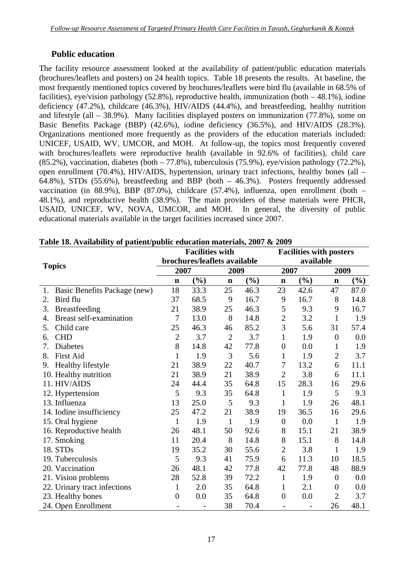## **Public education**

The facility resource assessment looked at the availability of patient/public education materials (brochures/leaflets and posters) on 24 health topics. Table 18 presents the results. At baseline, the most frequently mentioned topics covered by brochures/leaflets were bird flu (available in 68.5% of facilities), eye/vision pathology (52.8%), reproductive health, immunization (both – 48.1%), iodine deficiency (47.2%), childcare (46.3%), HIV/AIDS (44.4%), and breastfeeding, healthy nutrition and lifestyle (all – 38.9%). Many facilities displayed posters on immunization (77.8%), some on Basic Benefits Package (BBP) (42.6%), iodine deficiency (36.5%), and HIV/AIDS (28.3%). Organizations mentioned more frequently as the providers of the education materials included: UNICEF, USAID, WV, UMCOR, and MOH. At follow-up, the topics most frequently covered with brochures/leaflets were reproductive health (available in 92.6% of facilities), child care  $(85.2\%)$ , vaccination, diabetes (both  $-77.8\%$ ), tuberculosis (75.9%), eye/vision pathology (72.2%), open enrollment (70.4%), HIV/AIDS, hypertension, urinary tract infections, healthy bones (all – 64.8%), STDs (55.6%), breastfeeding and BBP (both – 46.3%). Posters frequently addressed vaccination (in 88.9%), BBP (87.0%), childcare (57.4%), influenza, open enrollment (both – 48.1%), and reproductive health (38.9%). The main providers of these materials were PHCR, USAID, UNICEF, WV, NOVA, UMCOR, and MOH. In general, the diversity of public educational materials available in the target facilities increased since 2007.

|                                      |                | <b>Facilities with</b>       |                |                 |                  | <b>Facilities with posters</b> |                |                              |  |
|--------------------------------------|----------------|------------------------------|----------------|-----------------|------------------|--------------------------------|----------------|------------------------------|--|
|                                      |                | brochures/leaflets available |                |                 |                  | available                      |                |                              |  |
| <b>Topics</b>                        | 2007           |                              |                | 2009            |                  | 2007                           |                | 2009                         |  |
|                                      | $\mathbf n$    | (%)                          | $\mathbf n$    | $(\frac{6}{6})$ | $\mathbf n$      | $(\%)$                         | $\mathbf n$    | $\left( \frac{6}{6} \right)$ |  |
| Basic Benefits Package (new)<br>1.   | 18             | 33.3                         | 25             | 46.3            | 23               | 42.6                           | 47             | 87.0                         |  |
| Bird flu<br>2.                       | 37             | 68.5                         | 9              | 16.7            | 9                | 16.7                           | 8              | 14.8                         |  |
| Breastfeeding<br>3.                  | 21             | 38.9                         | 25             | 46.3            | 5                | 9.3                            | 9              | 16.7                         |  |
| <b>Breast self-examination</b><br>4. | 7              | 13.0                         | 8              | 14.8            | $\overline{2}$   | 3.2                            | $\mathbf{1}$   | 1.9                          |  |
| Child care<br>5.                     | 25             | 46.3                         | 46             | 85.2            | 3                | 5.6                            | 31             | 57.4                         |  |
| <b>CHD</b><br>6.                     | $\overline{2}$ | 3.7                          | $\overline{2}$ | 3.7             | $\mathbf{1}$     | 1.9                            | $\overline{0}$ | 0.0                          |  |
| <b>Diabetes</b><br>7.                | 8              | 14.8                         | 42             | 77.8            | $\overline{0}$   | 0.0                            | 1              | 1.9                          |  |
| <b>First Aid</b><br>8.               | 1              | 1.9                          | 3              | 5.6             | $\mathbf{1}$     | 1.9                            | $\overline{2}$ | 3.7                          |  |
| Healthy lifestyle<br>9.              | 21             | 38.9                         | 22             | 40.7            | 7                | 13.2                           | 6              | 11.1                         |  |
| 10. Healthy nutrition                | 21             | 38.9                         | 21             | 38.9            | $\overline{2}$   | 3.8                            | 6              | 11.1                         |  |
| 11. HIV/AIDS                         | 24             | 44.4                         | 35             | 64.8            | 15               | 28.3                           | 16             | 29.6                         |  |
| 12. Hypertension                     | 5              | 9.3                          | 35             | 64.8            | $\mathbf{1}$     | 1.9                            | 5              | 9.3                          |  |
| 13. Influenza                        | 13             | 25.0                         | 5              | 9.3             | $\mathbf{1}$     | 1.9                            | 26             | 48.1                         |  |
| 14. Iodine insufficiency             | 25             | 47.2                         | 21             | 38.9            | 19               | 36.5                           | 16             | 29.6                         |  |
| 15. Oral hygiene                     | $\mathbf{1}$   | 1.9                          | $\mathbf{1}$   | 1.9             | $\boldsymbol{0}$ | 0.0                            | $\mathbf{1}$   | 1.9                          |  |
| 16. Reproductive health              | 26             | 48.1                         | 50             | 92.6            | 8                | 15.1                           | 21             | 38.9                         |  |
| 17. Smoking                          | 11             | 20.4                         | 8              | 14.8            | 8                | 15.1                           | 8              | 14.8                         |  |
| 18. STDs                             | 19             | 35.2                         | 30             | 55.6            | $\overline{2}$   | 3.8                            | $\mathbf{1}$   | 1.9                          |  |
| 19. Tuberculosis                     | 5              | 9.3                          | 41             | 75.9            | 6                | 11.3                           | 10             | 18.5                         |  |
| 20. Vaccination                      | 26             | 48.1                         | 42             | 77.8            | 42               | 77.8                           | 48             | 88.9                         |  |
| 21. Vision problems                  | 28             | 52.8                         | 39             | 72.2            | $\mathbf{1}$     | 1.9                            | $\overline{0}$ | 0.0                          |  |
| 22. Urinary tract infections         | 1              | 2.0                          | 35             | 64.8            | 1                | 2.1                            | $\overline{0}$ | 0.0                          |  |
| 23. Healthy bones                    | $\overline{0}$ | 0.0                          | 35             | 64.8            | $\boldsymbol{0}$ | 0.0                            | $\overline{2}$ | 3.7                          |  |
| 24. Open Enrollment                  |                |                              | 38             | 70.4            |                  |                                | 26             | 48.1                         |  |

**Table 18. Availability of patient/public education materials, 2007 & 2009**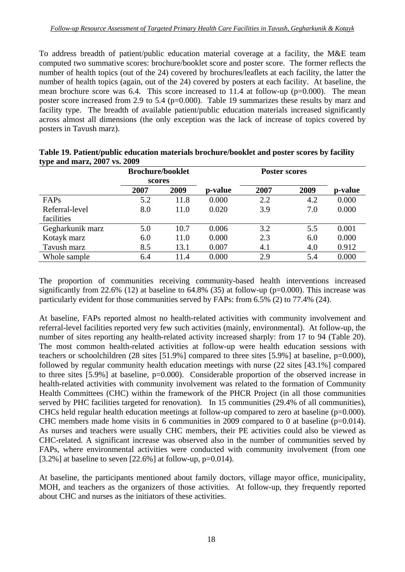To address breadth of patient/public education material coverage at a facility, the M&E team computed two summative scores: brochure/booklet score and poster score. The former reflects the number of health topics (out of the 24) covered by brochures/leaflets at each facility, the latter the number of health topics (again, out of the 24) covered by posters at each facility. At baseline, the mean brochure score was 6.4. This score increased to 11.4 at follow-up ( $p=0.000$ ). The mean poster score increased from 2.9 to 5.4 (p=0.000). Table 19 summarizes these results by marz and facility type. The breadth of available patient/public education materials increased significantly across almost all dimensions (the only exception was the lack of increase of topics covered by posters in Tavush marz).

| $\sim$ $\sim$    | <b>Brochure/booklet</b> |      |         |      |      |         |  |
|------------------|-------------------------|------|---------|------|------|---------|--|
|                  | scores                  |      |         |      |      |         |  |
|                  | 2007                    | 2009 | p-value | 2007 | 2009 | p-value |  |
| FAPs             | 5.2                     | 11.8 | 0.000   | 2.2  | 4.2  | 0.000   |  |
| Referral-level   | 8.0                     | 11.0 | 0.020   | 3.9  | 7.0  | 0.000   |  |
| facilities       |                         |      |         |      |      |         |  |
| Gegharkunik marz | 5.0                     | 10.7 | 0.006   | 3.2  | 5.5  | 0.001   |  |
| Kotayk marz      | 6.0                     | 11.0 | 0.000   | 2.3  | 6.0  | 0.000   |  |
| Tavush marz      | 8.5                     | 13.1 | 0.007   | 4.1  | 4.0  | 0.912   |  |
| Whole sample     | 6.4                     | 11.4 | 0.000   | 2.9  | 5.4  | 0.000   |  |

| Table 19. Patient/public education materials brochure/booklet and poster scores by facility |  |
|---------------------------------------------------------------------------------------------|--|
| type and marz, 2007 vs. 2009                                                                |  |

The proportion of communities receiving community-based health interventions increased significantly from 22.6% (12) at baseline to 64.8% (35) at follow-up (p=0.000). This increase was particularly evident for those communities served by FAPs: from 6.5% (2) to 77.4% (24).

At baseline, FAPs reported almost no health-related activities with community involvement and referral-level facilities reported very few such activities (mainly, environmental). At follow-up, the number of sites reporting any health-related activity increased sharply: from 17 to 94 (Table 20). The most common health-related activities at follow-up were health education sessions with teachers or schoolchildren (28 sites [51.9%] compared to three sites [5.9%] at baseline, p=0.000), followed by regular community health education meetings with nurse (22 sites [43.1%] compared to three sites [5.9%] at baseline, p=0.000). Considerable proportion of the observed increase in health-related activities with community involvement was related to the formation of Community Health Committees (CHC) within the framework of the PHCR Project (in all those communities served by PHC facilities targeted for renovation). In 15 communities (29.4% of all communities), CHCs held regular health education meetings at follow-up compared to zero at baseline ( $p=0.000$ ). CHC members made home visits in 6 communities in 2009 compared to 0 at baseline  $(p=0.014)$ . As nurses and teachers were usually CHC members, their PE activities could also be viewed as CHC-related. A significant increase was observed also in the number of communities served by FAPs, where environmental activities were conducted with community involvement (from one [3.2%] at baseline to seven [22.6%] at follow-up,  $p=0.014$ ).

At baseline, the participants mentioned about family doctors, village mayor office, municipality, MOH, and teachers as the organizers of those activities. At follow-up, they frequently reported about CHC and nurses as the initiators of these activities.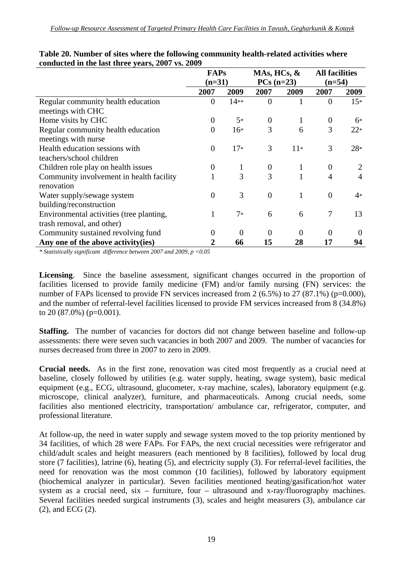|                                          | <b>FAPs</b>    |          | MAs, HCs, $\&$ |              | <b>All facilities</b> |          |
|------------------------------------------|----------------|----------|----------------|--------------|-----------------------|----------|
|                                          | $(n=31)$       |          | $PCs(n=23)$    |              | $(n=54)$              |          |
|                                          | 2007           | 2009     | 2007           | 2009         | 2007                  | 2009     |
| Regular community health education       | $\overline{0}$ | $14**$   | $\overline{0}$ | 1            | $\theta$              | $15*$    |
| meetings with CHC                        |                |          |                |              |                       |          |
| Home visits by CHC                       | $\overline{0}$ | $5*$     | $\overline{0}$ | $\mathbf{1}$ | $\theta$              | $6*$     |
| Regular community health education       | 0              | $16*$    | 3              | 6            | 3                     | $22*$    |
| meetings with nurse                      |                |          |                |              |                       |          |
| Health education sessions with           | $\theta$       | $17*$    | 3              | $11*$        | 3                     | $28*$    |
| teachers/school children                 |                |          |                |              |                       |          |
| Children role play on health issues      | 0              | 1        | $\theta$       | $\mathbf{1}$ | $\theta$              |          |
| Community involvement in health facility | 1              | 3        | 3              | 1            | 4                     | 4        |
| renovation                               |                |          |                |              |                       |          |
| Water supply/sewage system               | 0              | 3        | $\overline{0}$ | 1            | $\Omega$              | 4*       |
| building/reconstruction                  |                |          |                |              |                       |          |
| Environmental activities (tree planting, |                | $7*$     | 6              | 6            | 7                     | 13       |
| trash removal, and other)                |                |          |                |              |                       |          |
| Community sustained revolving fund       | 0              | $\theta$ | $\theta$       | 0            | $\theta$              | $\Omega$ |
| Any one of the above activity (ies)      | 2              | 66       | 15             | 28           | 17                    | 94       |

#### **Table 20. Number of sites where the following community health-related activities where conducted in the last three years, 2007 vs. 2009**

*\* Statistically significant difference between 2007 and 2009, p <0.05* 

**Licensing**. Since the baseline assessment, significant changes occurred in the proportion of facilities licensed to provide family medicine (FM) and/or family nursing (FN) services: the number of FAPs licensed to provide FN services increased from 2  $(6.5\%)$  to 27  $(87.1\%)$  (p=0.000), and the number of referral-level facilities licensed to provide FM services increased from 8 (34.8%) to  $20(87.0\%)$  (p=0.001).

**Staffing.** The number of vacancies for doctors did not change between baseline and follow-up assessments: there were seven such vacancies in both 2007 and 2009. The number of vacancies for nurses decreased from three in 2007 to zero in 2009.

**Crucial needs.** As in the first zone, renovation was cited most frequently as a crucial need at baseline, closely followed by utilities (e.g. water supply, heating, swage system), basic medical equipment (e.g., ECG, ultrasound, glucometer, x-ray machine, scales), laboratory equipment (e.g. microscope, clinical analyzer), furniture, and pharmaceuticals. Among crucial needs, some facilities also mentioned electricity, transportation/ ambulance car, refrigerator, computer, and professional literature.

At follow-up, the need in water supply and sewage system moved to the top priority mentioned by 34 facilities, of which 28 were FAPs. For FAPs, the next crucial necessities were refrigerator and child/adult scales and height measurers (each mentioned by 8 facilities), followed by local drug store (7 facilities), latrine (6), heating (5), and electricity supply (3). For referral-level facilities, the need for renovation was the most common (10 facilities), followed by laboratory equipment (biochemical analyzer in particular). Seven facilities mentioned heating/gasification/hot water system as a crucial need, six – furniture, four – ultrasound and x-ray/fluorography machines. Several facilities needed surgical instruments (3), scales and height measurers (3), ambulance car (2), and ECG (2).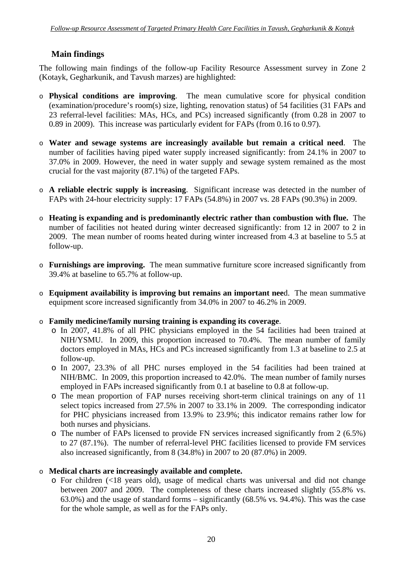## **Main findings**

The following main findings of the follow-up Facility Resource Assessment survey in Zone 2 (Kotayk, Gegharkunik, and Tavush marzes) are highlighted:

- o **Physical conditions are improving**. The mean cumulative score for physical condition (examination/procedure's room(s) size, lighting, renovation status) of 54 facilities (31 FAPs and 23 referral-level facilities: MAs, HCs, and PCs) increased significantly (from 0.28 in 2007 to 0.89 in 2009). This increase was particularly evident for FAPs (from 0.16 to 0.97).
- o **Water and sewage systems are increasingly available but remain a critical need**. The number of facilities having piped water supply increased significantly: from 24.1% in 2007 to 37.0% in 2009. However, the need in water supply and sewage system remained as the most crucial for the vast majority (87.1%) of the targeted FAPs.
- o **A reliable electric supply is increasing**. Significant increase was detected in the number of FAPs with 24-hour electricity supply: 17 FAPs (54.8%) in 2007 vs. 28 FAPs (90.3%) in 2009.
- o **Heating is expanding and is predominantly electric rather than combustion with flue.** The number of facilities not heated during winter decreased significantly: from 12 in 2007 to 2 in 2009. The mean number of rooms heated during winter increased from 4.3 at baseline to 5.5 at follow-up.
- o **Furnishings are improving.** The mean summative furniture score increased significantly from 39.4% at baseline to 65.7% at follow-up.
- o **Equipment availability is improving but remains an important nee**d. The mean summative equipment score increased significantly from 34.0% in 2007 to 46.2% in 2009.
- o **Family medicine/family nursing training is expanding its coverage**.
	- o In 2007, 41.8% of all PHC physicians employed in the 54 facilities had been trained at NIH/YSMU. In 2009, this proportion increased to 70.4%. The mean number of family doctors employed in MAs, HCs and PCs increased significantly from 1.3 at baseline to 2.5 at follow-up.
	- o In 2007, 23.3% of all PHC nurses employed in the 54 facilities had been trained at NIH/BMC. In 2009, this proportion increased to 42.0%. The mean number of family nurses employed in FAPs increased significantly from 0.1 at baseline to 0.8 at follow-up.
	- o The mean proportion of FAP nurses receiving short-term clinical trainings on any of 11 select topics increased from 27.5% in 2007 to 33.1% in 2009. The corresponding indicator for PHC physicians increased from 13.9% to 23.9%; this indicator remains rather low for both nurses and physicians.
	- o The number of FAPs licensed to provide FN services increased significantly from 2 (6.5%) to 27 (87.1%). The number of referral-level PHC facilities licensed to provide FM services also increased significantly, from 8 (34.8%) in 2007 to 20 (87.0%) in 2009.

## o **Medical charts are increasingly available and complete.**

o For children (<18 years old), usage of medical charts was universal and did not change between 2007 and 2009. The completeness of these charts increased slightly (55.8% vs. 63.0%) and the usage of standard forms – significantly (68.5% vs. 94.4%). This was the case for the whole sample, as well as for the FAPs only.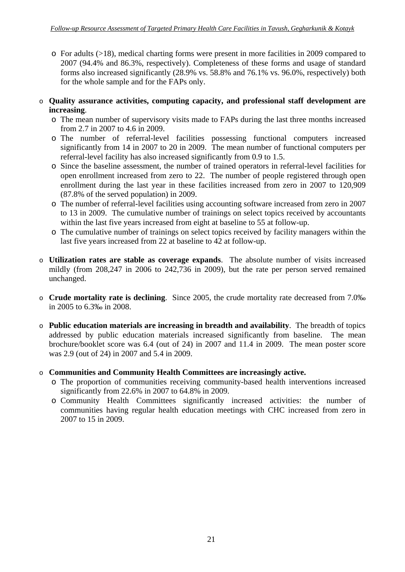- o For adults (>18), medical charting forms were present in more facilities in 2009 compared to 2007 (94.4% and 86.3%, respectively). Completeness of these forms and usage of standard forms also increased significantly (28.9% vs. 58.8% and 76.1% vs. 96.0%, respectively) both for the whole sample and for the FAPs only.
- o **Quality assurance activities, computing capacity, and professional staff development are increasing**.
	- o The mean number of supervisory visits made to FAPs during the last three months increased from 2.7 in 2007 to 4.6 in 2009.
	- o The number of referral-level facilities possessing functional computers increased significantly from 14 in 2007 to 20 in 2009. The mean number of functional computers per referral-level facility has also increased significantly from 0.9 to 1.5.
	- o Since the baseline assessment, the number of trained operators in referral-level facilities for open enrollment increased from zero to 22. The number of people registered through open enrollment during the last year in these facilities increased from zero in 2007 to 120,909 (87.8% of the served population) in 2009.
	- o The number of referral-level facilities using accounting software increased from zero in 2007 to 13 in 2009. The cumulative number of trainings on select topics received by accountants within the last five years increased from eight at baseline to 55 at follow-up.
	- o The cumulative number of trainings on select topics received by facility managers within the last five years increased from 22 at baseline to 42 at follow-up.
- o **Utilization rates are stable as coverage expands**. The absolute number of visits increased mildly (from 208,247 in 2006 to 242,736 in 2009), but the rate per person served remained unchanged.
- o **Crude mortality rate is declining**. Since 2005, the crude mortality rate decreased from 7.0‰ in 2005 to 6.3‰ in 2008.
- o **Public education materials are increasing in breadth and availability**. The breadth of topics addressed by public education materials increased significantly from baseline. The mean brochure/booklet score was 6.4 (out of 24) in 2007 and 11.4 in 2009. The mean poster score was 2.9 (out of 24) in 2007 and 5.4 in 2009.
- o **Communities and Community Health Committees are increasingly active.**
	- o The proportion of communities receiving community-based health interventions increased significantly from 22.6% in 2007 to 64.8% in 2009.
	- o Community Health Committees significantly increased activities: the number of communities having regular health education meetings with CHC increased from zero in 2007 to 15 in 2009.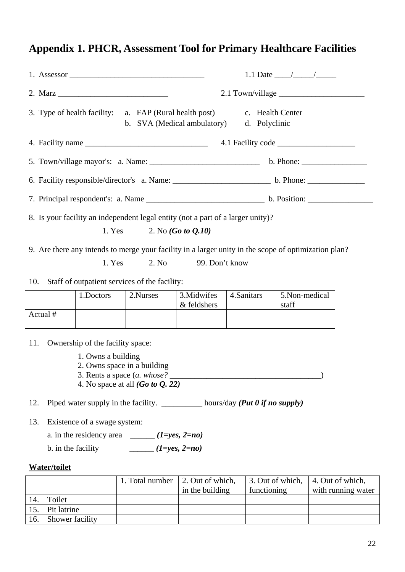# **Appendix 1. PHCR, Assessment Tool for Primary Healthcare Facilities**

| 3. Type of health facility: a. FAP (Rural health post)<br>c. Health Center<br>b. SVA (Medical ambulatory)<br>d. Polyclinic         |                                                                                 |                             |                            |            |                                                                                                      |  |
|------------------------------------------------------------------------------------------------------------------------------------|---------------------------------------------------------------------------------|-----------------------------|----------------------------|------------|------------------------------------------------------------------------------------------------------|--|
|                                                                                                                                    |                                                                                 |                             |                            |            |                                                                                                      |  |
|                                                                                                                                    |                                                                                 |                             |                            |            |                                                                                                      |  |
|                                                                                                                                    |                                                                                 |                             |                            |            |                                                                                                      |  |
|                                                                                                                                    |                                                                                 |                             |                            |            |                                                                                                      |  |
|                                                                                                                                    | 8. Is your facility an independent legal entity (not a part of a larger unity)? | 1. Yes 2. No $(Go to Q.10)$ |                            |            |                                                                                                      |  |
|                                                                                                                                    |                                                                                 |                             |                            |            | 9. Are there any intends to merge your facility in a larger unity in the scope of optimization plan? |  |
|                                                                                                                                    | 1. Yes                                                                          | 2. No                       | 99. Don't know             |            |                                                                                                      |  |
| 10.                                                                                                                                | Staff of outpatient services of the facility:                                   |                             |                            |            |                                                                                                      |  |
|                                                                                                                                    | 1.Doctors                                                                       | 2.Nurses                    | 3. Midwifes<br>& feldshers | 4.Sanitars | 5.Non-medical<br>staff                                                                               |  |
| Actual #                                                                                                                           |                                                                                 |                             |                            |            |                                                                                                      |  |
| 11.<br>Ownership of the facility space:<br>1. Owns a building<br>2. Owns space in a building<br>4. No space at all $(Go to Q. 22)$ |                                                                                 |                             |                            |            |                                                                                                      |  |
| Piped water supply in the facility. ____________ hours/day (Put 0 if no supply)<br>12.                                             |                                                                                 |                             |                            |            |                                                                                                      |  |
| 13.                                                                                                                                | Existence of a swage system:                                                    |                             |                            |            |                                                                                                      |  |
|                                                                                                                                    | a. in the residency area                                                        |                             | $(1=yes, 2=no)$            |            |                                                                                                      |  |

b. in the facility  $(1=yes, 2=no)$ 

## **Water/toilet**

|     |                 | 1. Total number | 2. Out of which,<br>in the building | 3. Out of which, 4. Out of which,<br>functioning | with running water |
|-----|-----------------|-----------------|-------------------------------------|--------------------------------------------------|--------------------|
| 14. | Toilet          |                 |                                     |                                                  |                    |
| 15. | Pit latrine     |                 |                                     |                                                  |                    |
|     | Shower facility |                 |                                     |                                                  |                    |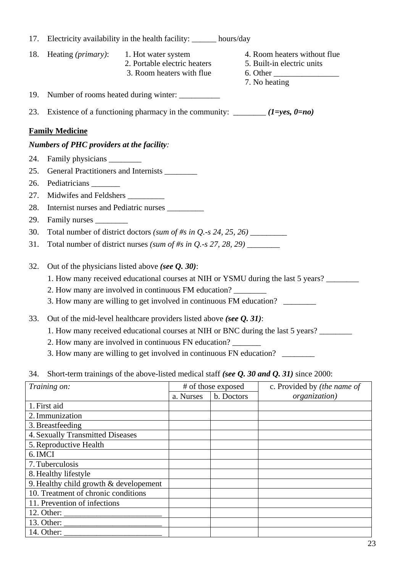| 17. |                                                  | Electricity availability in the health facility: _______ hours/day               |                                                                                         |  |  |  |
|-----|--------------------------------------------------|----------------------------------------------------------------------------------|-----------------------------------------------------------------------------------------|--|--|--|
| 18. | Heating <i>(primary)</i> :                       | 1. Hot water system<br>2. Portable electric heaters<br>3. Room heaters with flue | 4. Room heaters without flue<br>5. Built-in electric units<br>7. No heating             |  |  |  |
| 19. |                                                  | Number of rooms heated during winter:                                            |                                                                                         |  |  |  |
| 23. |                                                  |                                                                                  | Existence of a functioning pharmacy in the community: $\frac{1}{2}$ (1=yes, 0=no)       |  |  |  |
|     | <b>Family Medicine</b>                           |                                                                                  |                                                                                         |  |  |  |
|     | <b>Numbers of PHC providers at the facility:</b> |                                                                                  |                                                                                         |  |  |  |
| 24. |                                                  |                                                                                  |                                                                                         |  |  |  |
| 25. |                                                  | General Practitioners and Internists ________                                    |                                                                                         |  |  |  |
| 26. | Pediatricians                                    |                                                                                  |                                                                                         |  |  |  |
| 27. | Midwifes and Feldshers __________                |                                                                                  |                                                                                         |  |  |  |
| 28. |                                                  | Internist nurses and Pediatric nurses                                            |                                                                                         |  |  |  |
| 29. | Family nurses                                    |                                                                                  |                                                                                         |  |  |  |
| 30. |                                                  | Total number of district doctors (sum of #s in $Q.-s$ 24, 25, 26)                |                                                                                         |  |  |  |
| 31. |                                                  | Total number of district nurses (sum of #s in $Q$ -s 27, 28, 29)                 |                                                                                         |  |  |  |
| 32. |                                                  | Out of the physicians listed above (see $Q$ , 30):                               |                                                                                         |  |  |  |
|     |                                                  |                                                                                  | 1. How many received educational courses at NIH or YSMU during the last 5 years?        |  |  |  |
|     |                                                  | 2. How many are involved in continuous FM education?                             |                                                                                         |  |  |  |
|     |                                                  |                                                                                  | 3. How many are willing to get involved in continuous FM education? _________           |  |  |  |
| 33. |                                                  | Out of the mid-level healthcare providers listed above (see $Q$ , 31):           |                                                                                         |  |  |  |
|     |                                                  |                                                                                  | 1. How many received educational courses at NIH or BNC during the last 5 years? _______ |  |  |  |
|     |                                                  | 2. How many are involved in continuous FN education?                             |                                                                                         |  |  |  |

- 3. How many are willing to get involved in continuous FN education? \_\_\_\_\_\_\_\_\_\_\_\_
- 34. Short-term trainings of the above-listed medical staff *(see Q. 30 and Q. 31)* since 2000:

| Training on:                                                  |                         | # of those exposed | c. Provided by <i>(the name of</i> |
|---------------------------------------------------------------|-------------------------|--------------------|------------------------------------|
|                                                               | b. Doctors<br>a. Nurses |                    | organization)                      |
| 1. First aid                                                  |                         |                    |                                    |
| 2. Immunization                                               |                         |                    |                                    |
| 3. Breastfeeding                                              |                         |                    |                                    |
| <b>4. Sexually Transmitted Diseases</b>                       |                         |                    |                                    |
| 5. Reproductive Health                                        |                         |                    |                                    |
| 6. IMCI                                                       |                         |                    |                                    |
| 7. Tuberculosis                                               |                         |                    |                                    |
| 8. Healthy lifestyle                                          |                         |                    |                                    |
| 9. Healthy child growth $&$ developement                      |                         |                    |                                    |
| 10. Treatment of chronic conditions                           |                         |                    |                                    |
| 11. Prevention of infections                                  |                         |                    |                                    |
| 12. Other: $\frac{1}{\sqrt{1-\frac{1}{2}} \cdot \frac{1}{2}}$ |                         |                    |                                    |
|                                                               |                         |                    |                                    |
| 14. Other:                                                    |                         |                    |                                    |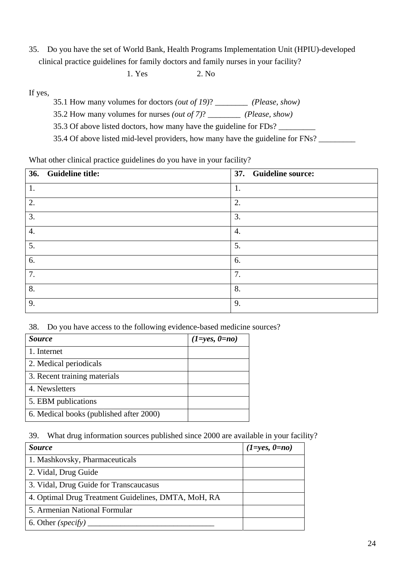35. Do you have the set of World Bank, Health Programs Implementation Unit (HPIU)-developed clinical practice guidelines for family doctors and family nurses in your facility?

1. Yes 2. No

If yes,

- 35.1 How many volumes for doctors *(out of 19)*? \_\_\_\_\_\_\_\_ *(Please, show)*
- 35.2 How many volumes for nurses *(out of 7)*? \_\_\_\_\_\_\_\_ *(Please, show)*
- 35.3 Of above listed doctors, how many have the guideline for FDs?
- 35.4 Of above listed mid-level providers, how many have the guideline for FNs?

What other clinical practice guidelines do you have in your facility?

|                    | 36. Guideline title: |    | 37. Guideline source: |
|--------------------|----------------------|----|-----------------------|
| 1.                 |                      | 1. |                       |
| 2.                 |                      | 2. |                       |
| 3.                 |                      | 3. |                       |
| $\boldsymbol{4}$ . |                      | 4. |                       |
| 5.                 |                      | 5. |                       |
| 6.                 |                      | 6. |                       |
| 7.                 |                      | 7. |                       |
| 8.                 |                      | 8. |                       |
| 9.                 |                      | 9. |                       |

38. Do you have access to the following evidence-based medicine sources?

| <i>Source</i>                           | $(1 = yes, 0 = no)$ |
|-----------------------------------------|---------------------|
| 1. Internet                             |                     |
| 2. Medical periodicals                  |                     |
| 3. Recent training materials            |                     |
| 4. Newsletters                          |                     |
| 5. EBM publications                     |                     |
| 6. Medical books (published after 2000) |                     |

39. What drug information sources published since 2000 are available in your facility?

| <i>Source</i>                                       | $(1 = yes, 0 = no)$ |
|-----------------------------------------------------|---------------------|
| 1. Mashkovsky, Pharmaceuticals                      |                     |
| 2. Vidal, Drug Guide                                |                     |
| 3. Vidal, Drug Guide for Transcaucasus              |                     |
| 4. Optimal Drug Treatment Guidelines, DMTA, MoH, RA |                     |
| 5. Armenian National Formular                       |                     |
| 6. Other (specify) $\overline{\phantom{a}}$         |                     |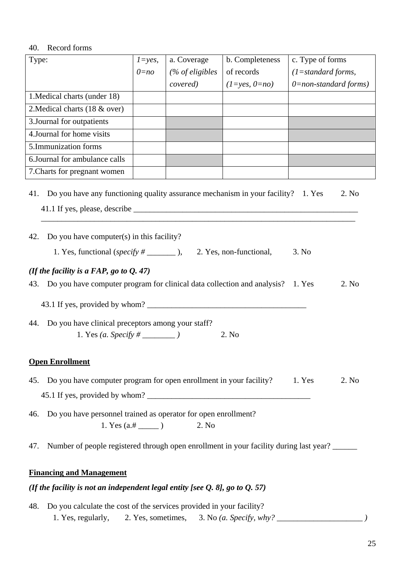#### 40. Record forms

| Type:                                                                                                                                       | $1 = yes$ , | a. Coverage      | b. Completeness         | c. Type of forms         |  |  |
|---------------------------------------------------------------------------------------------------------------------------------------------|-------------|------------------|-------------------------|--------------------------|--|--|
|                                                                                                                                             | $0 = no$    | $%$ of eligibles | of records              | $(1=standard forms,$     |  |  |
|                                                                                                                                             |             | covered)         | $(1 = yes, 0 = no)$     | $0$ =non-standard forms) |  |  |
| 1. Medical charts (under 18)                                                                                                                |             |                  |                         |                          |  |  |
| 2. Medical charts (18 & over)                                                                                                               |             |                  |                         |                          |  |  |
| 3. Journal for outpatients                                                                                                                  |             |                  |                         |                          |  |  |
| 4. Journal for home visits                                                                                                                  |             |                  |                         |                          |  |  |
| 5.Immunization forms                                                                                                                        |             |                  |                         |                          |  |  |
| 6. Journal for ambulance calls                                                                                                              |             |                  |                         |                          |  |  |
| 7. Charts for pregnant women                                                                                                                |             |                  |                         |                          |  |  |
| Do you have any functioning quality assurance mechanism in your facility? 1. Yes<br>41.<br>Do you have computer(s) in this facility?<br>42. |             |                  |                         | 2. No                    |  |  |
|                                                                                                                                             |             |                  |                         |                          |  |  |
|                                                                                                                                             |             |                  | 2. Yes, non-functional, | 3. No                    |  |  |
| (If the facility is a FAP, go to $Q. 47$ )                                                                                                  |             |                  |                         |                          |  |  |
| Do you have computer program for clinical data collection and analysis? 1. Yes<br>43.                                                       |             |                  |                         | 2. No                    |  |  |
|                                                                                                                                             |             |                  |                         |                          |  |  |
|                                                                                                                                             |             |                  |                         |                          |  |  |
| Do you have clinical preceptors among your staff?<br>44.<br>2. No                                                                           |             |                  |                         |                          |  |  |
| <b>Open Enrollment</b>                                                                                                                      |             |                  |                         |                          |  |  |
| Do you have computer program for open enrollment in your facility? 1. Yes<br>45.                                                            |             |                  |                         | 2. No                    |  |  |
|                                                                                                                                             |             |                  |                         |                          |  |  |
|                                                                                                                                             |             |                  |                         |                          |  |  |
| Do you have personnel trained as operator for open enrollment?<br>46.<br>2. No                                                              |             |                  |                         |                          |  |  |
| Number of people registered through open enrollment in your facility during last year?<br>47.                                               |             |                  |                         |                          |  |  |
| <b>Financing and Management</b>                                                                                                             |             |                  |                         |                          |  |  |

## *(If the facility is not an independent legal entity [see Q. 8], go to Q. 57)*

48. Do you calculate the cost of the services provided in your facility? 1. Yes, regularly, 2. Yes, sometimes, 3. No *(a. Specify, why? \_\_\_\_\_\_\_\_\_\_\_\_\_\_\_\_\_\_\_\_\_ )*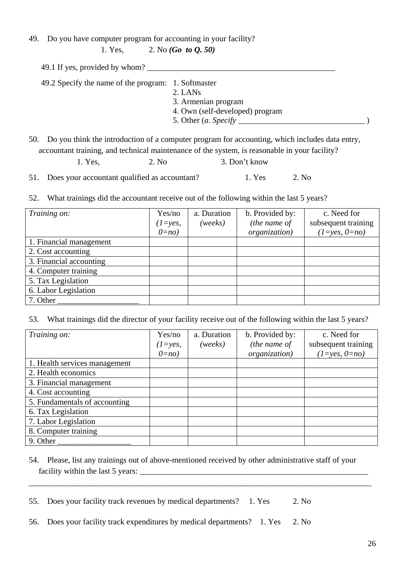49. Do you have computer program for accounting in your facility?

1. Yes, 2. No *(Go to Q. 50)*

|                                                                                                                          | 49.1 If yes, provided by whom? |  |
|--------------------------------------------------------------------------------------------------------------------------|--------------------------------|--|
| 49.2 Specify the name of the program: 1. Softmaster<br>2. LANS<br>3. Armenian program<br>4. Own (self-developed) program |                                |  |

50. Do you think the introduction of a computer program for accounting, which includes data entry, accountant training, and technical maintenance of the system, is reasonable in your facility?

| 1. Yes, | 2. No. | 3. Don't know |
|---------|--------|---------------|
|         |        |               |

51. Does your accountant qualified as accountant? 1. Yes 2. No

52. What trainings did the accountant receive out of the following within the last 5 years?

| Training on:            | Yes/no<br>$(1 = yes,$<br>$0=no$ | a. Duration<br>(weeks) | b. Provided by:<br>(the name of<br>organization) | c. Need for<br>subsequent training<br>$(1=yes, 0=no)$ |
|-------------------------|---------------------------------|------------------------|--------------------------------------------------|-------------------------------------------------------|
| 1. Financial management |                                 |                        |                                                  |                                                       |
| 2. Cost accounting      |                                 |                        |                                                  |                                                       |
| 3. Financial accounting |                                 |                        |                                                  |                                                       |
| 4. Computer training    |                                 |                        |                                                  |                                                       |
| 5. Tax Legislation      |                                 |                        |                                                  |                                                       |
| 6. Labor Legislation    |                                 |                        |                                                  |                                                       |
| 7. Other                |                                 |                        |                                                  |                                                       |

53. What trainings did the director of your facility receive out of the following within the last 5 years?

| Training on:                  | Yes/no<br>$(1=yes,$<br>$0=no$ | a. Duration<br>(weeks) | b. Provided by:<br>(the name of<br><i>organization</i> ) | c. Need for<br>subsequent training<br>$(1 = yes, 0 = no)$ |
|-------------------------------|-------------------------------|------------------------|----------------------------------------------------------|-----------------------------------------------------------|
| 1. Health services management |                               |                        |                                                          |                                                           |
| 2. Health economics           |                               |                        |                                                          |                                                           |
| 3. Financial management       |                               |                        |                                                          |                                                           |
| 4. Cost accounting            |                               |                        |                                                          |                                                           |
| 5. Fundamentals of accounting |                               |                        |                                                          |                                                           |
| 6. Tax Legislation            |                               |                        |                                                          |                                                           |
| 7. Labor Legislation          |                               |                        |                                                          |                                                           |
| 8. Computer training          |                               |                        |                                                          |                                                           |
| 9. Other                      |                               |                        |                                                          |                                                           |

54. Please, list any trainings out of above-mentioned received by other administrative staff of your facility within the last 5 years: \_\_\_\_\_\_\_\_\_\_\_\_\_\_\_\_\_\_\_\_\_\_\_\_\_\_\_\_\_\_\_\_\_\_\_\_\_\_\_\_\_\_\_\_\_\_\_\_\_\_\_\_\_\_\_\_

\_\_\_\_\_\_\_\_\_\_\_\_\_\_\_\_\_\_\_\_\_\_\_\_\_\_\_\_\_\_\_\_\_\_\_\_\_\_\_\_\_\_\_\_\_\_\_\_\_\_\_\_\_\_\_\_\_\_\_\_\_\_\_\_\_\_\_\_\_\_\_\_\_\_\_\_\_\_\_\_\_\_\_\_

55. Does your facility track revenues by medical departments? 1. Yes 2. No

56. Does your facility track expenditures by medical departments? 1. Yes 2. No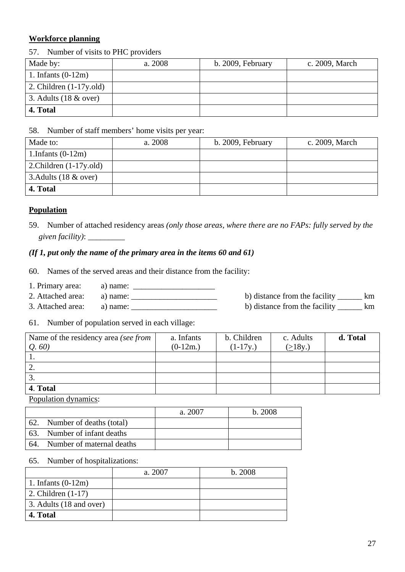## **Workforce planning**

## 57. Number of visits to PHC providers

| Made by:                   | a. 2008 | b. 2009, February | c. 2009, March |
|----------------------------|---------|-------------------|----------------|
| 1. Infants $(0-12m)$       |         |                   |                |
| 2. Children $(1-17y.$ old) |         |                   |                |
| 3. Adults $(18 \& over)$   |         |                   |                |
| 4. Total                   |         |                   |                |

### 58. Number of staff members' home visits per year:

| Made to:                   | a. 2008 | b. 2009, February | c. 2009, March |
|----------------------------|---------|-------------------|----------------|
| 1.Infants $(0-12m)$        |         |                   |                |
| 2. Children $(1-17y.$ old) |         |                   |                |
| 3. Adults $(18 \& over)$   |         |                   |                |
| 4. Total                   |         |                   |                |

## **Population**

59. Number of attached residency areas *(only those areas, where there are no FAPs: fully served by the given facility)*: \_\_\_\_\_\_\_\_\_

## *(If 1, put only the name of the primary area in the items 60 and 61)*

- 60. Names of the served areas and their distance from the facility:
- 1. Primary area: a) name: \_\_\_\_\_\_\_\_\_\_\_\_\_\_\_\_\_\_\_\_
- 2. Attached area: a) name: \_\_\_\_\_\_\_\_\_\_\_\_\_\_\_\_\_\_\_\_\_ b) distance from the facility \_\_\_\_\_\_ km
- 3. Attached area: a) name: \_\_\_\_\_\_\_\_\_\_\_\_\_\_\_\_\_\_\_\_\_ b) distance from the facility \_\_\_\_\_\_ km
	-

#### 61. Number of population served in each village:

| Name of the residency area (see from | a. Infants | b. Children | c. Adults | d. Total |
|--------------------------------------|------------|-------------|-----------|----------|
| Q.60                                 | $(0-12m.)$ | $(1-17y)$   | (218y.)   |          |
|                                      |            |             |           |          |
| 2.                                   |            |             |           |          |
|                                      |            |             |           |          |
| 4. Total                             |            |             |           |          |

Population dynamics:

|                               | a. 2007 | b. 2008 |
|-------------------------------|---------|---------|
| 62. Number of deaths (total)  |         |         |
| 63. Number of infant deaths   |         |         |
| 64. Number of maternal deaths |         |         |

#### 65. Number of hospitalizations:

|                              | a. 2007 | b.2008 |
|------------------------------|---------|--------|
| 1. Infants $(0-12m)$         |         |        |
| $\vert$ 2. Children $(1-17)$ |         |        |
| 3. Adults (18 and over)      |         |        |
| 4. Total                     |         |        |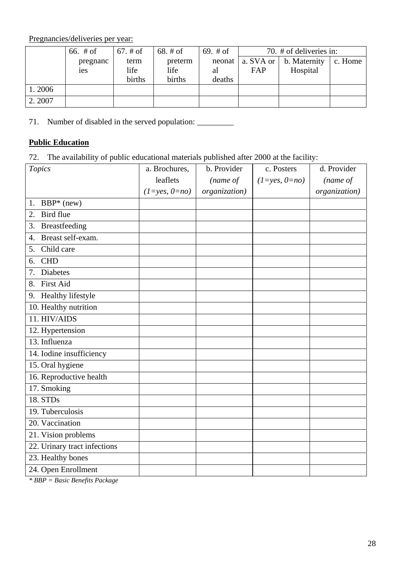Pregnancies/deliveries per year:

|        | 66. $#$ of     | $67. \# of$ | 68. $#$ of | 69. $#$ of |     | 70. # of deliveries in:        |         |
|--------|----------------|-------------|------------|------------|-----|--------------------------------|---------|
|        | pregnanc       | term        | preterm    | neonat     |     | a. SVA or $\vert$ b. Maternity | c. Home |
|        | <sub>1es</sub> | life        | life       | al         | FAP | Hospital                       |         |
|        |                | births      | births     | deaths     |     |                                |         |
| 1.2006 |                |             |            |            |     |                                |         |
| 2.2007 |                |             |            |            |     |                                |         |

71. Number of disabled in the served population: \_\_\_\_\_\_\_\_\_\_\_\_\_\_\_\_\_\_\_\_\_\_\_\_\_\_\_\_\_\_\_

## **Public Education**

72. The availability of public educational materials published after 2000 at the facility:

| a. Brochures,   | b. Provider   | c. Posters      | d. Provider   |
|-----------------|---------------|-----------------|---------------|
| leaflets        | (name of      | $(1=yes, 0=no)$ | (name of      |
| $(1=yes, 0=no)$ | organization) |                 | organization) |
|                 |               |                 |               |
|                 |               |                 |               |
|                 |               |                 |               |
|                 |               |                 |               |
|                 |               |                 |               |
|                 |               |                 |               |
|                 |               |                 |               |
|                 |               |                 |               |
|                 |               |                 |               |
|                 |               |                 |               |
|                 |               |                 |               |
|                 |               |                 |               |
|                 |               |                 |               |
|                 |               |                 |               |
|                 |               |                 |               |
|                 |               |                 |               |
|                 |               |                 |               |
|                 |               |                 |               |
|                 |               |                 |               |
|                 |               |                 |               |
|                 |               |                 |               |
|                 |               |                 |               |
|                 |               |                 |               |
|                 |               |                 |               |
|                 |               |                 |               |

*\* BBP = Basic Benefits Package*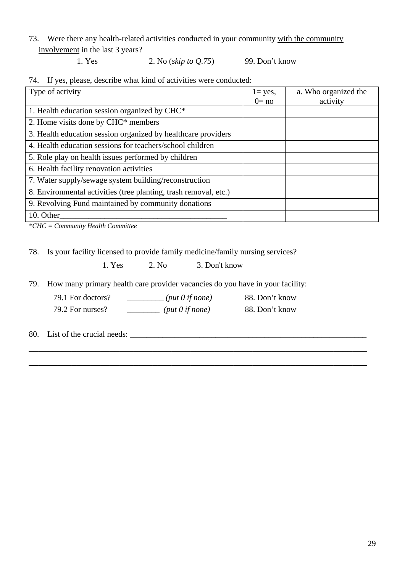73. Were there any health-related activities conducted in your community with the community involvement in the last 3 years?

1. Yes 2. No (*skip to Q.75*) 99. Don't know

74. If yes, please, describe what kind of activities were conducted:

| Type of activity                                                 | $l = yes$ ,<br>$0 = no$ | a. Who organized the<br>activity |
|------------------------------------------------------------------|-------------------------|----------------------------------|
| 1. Health education session organized by CHC*                    |                         |                                  |
| 2. Home visits done by CHC* members                              |                         |                                  |
| 3. Health education session organized by healthcare providers    |                         |                                  |
| 4. Health education sessions for teachers/school children        |                         |                                  |
| 5. Role play on health issues performed by children              |                         |                                  |
| 6. Health facility renovation activities                         |                         |                                  |
| 7. Water supply/sewage system building/reconstruction            |                         |                                  |
| 8. Environmental activities (tree planting, trash removal, etc.) |                         |                                  |
| 9. Revolving Fund maintained by community donations              |                         |                                  |
| 10. Other                                                        |                         |                                  |

*\*CHC = Community Health Committee* 

78. Is your facility licensed to provide family medicine/family nursing services?

1. Yes 2. No 3. Don't know

79. How many primary health care provider vacancies do you have in your facility:

79.1 For doctors? \_\_\_\_\_\_\_\_\_ *(put 0 if none)* 88. Don't know 79.2 For nurses? \_\_\_\_\_\_\_\_ *(put 0 if none)* 88. Don't know

\_\_\_\_\_\_\_\_\_\_\_\_\_\_\_\_\_\_\_\_\_\_\_\_\_\_\_\_\_\_\_\_\_\_\_\_\_\_\_\_\_\_\_\_\_\_\_\_\_\_\_\_\_\_\_\_\_\_\_\_\_\_\_\_\_\_\_\_\_\_\_

\_\_\_\_\_\_\_\_\_\_\_\_\_\_\_\_\_\_\_\_\_\_\_\_\_\_\_\_\_\_\_\_\_\_\_\_\_\_\_\_\_\_\_\_\_\_\_\_\_\_\_\_\_\_\_\_\_\_\_\_\_\_\_\_\_\_\_\_\_\_\_

80. List of the crucial needs: \_\_\_\_\_\_\_\_\_\_\_\_\_\_\_\_\_\_\_\_\_\_\_\_\_\_\_\_\_\_\_\_\_\_\_\_\_\_\_\_\_\_\_\_\_\_\_\_\_\_\_\_\_\_\_\_\_\_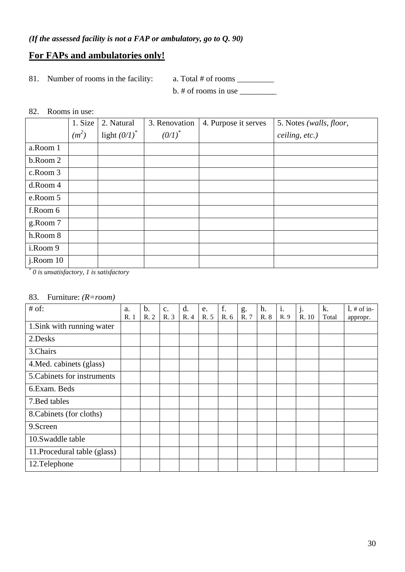## **For FAPs and ambulatories only!**

81. Number of rooms in the facility: a. Total # of rooms \_\_\_\_\_\_\_\_\_\_\_\_\_\_\_\_\_\_\_\_\_\_\_\_

 $b. \#$  of rooms in use  $\_\_\_\_\_\_\_\_\_\_\_$ 

#### 82. Rooms in use:

|               | 1. Size | 2. Natural      | 3. Renovation | 4. Purpose it serves | 5. Notes (walls, floor, |
|---------------|---------|-----------------|---------------|----------------------|-------------------------|
|               | $(m^2)$ | light $(0/I)^*$ | $(0/I)^*$     |                      | ceiling, etc.)          |
| a.Room 1      |         |                 |               |                      |                         |
| b.Room 2      |         |                 |               |                      |                         |
| c.Room 3      |         |                 |               |                      |                         |
| d.Room 4      |         |                 |               |                      |                         |
| e.Room 5      |         |                 |               |                      |                         |
| f.Room 6      |         |                 |               |                      |                         |
| g.Room 7      |         |                 |               |                      |                         |
| h.Room 8      |         |                 |               |                      |                         |
| i.Room 9      |         |                 |               |                      |                         |
| $j$ . Room 10 |         |                 |               |                      |                         |

*\* 0 is unsatisfactory, 1 is satisfactory* 

## 83. Furniture: *(R=room)*

| $#$ of:                      | a.   | $\mathbf b$ . | $\mathbf{C}$ . | d.   | e.   | f.   | g.   | h.   | i.   | j.    | k.    | $1.$ # of in- |
|------------------------------|------|---------------|----------------|------|------|------|------|------|------|-------|-------|---------------|
|                              | R. 1 | R. 2          | R. 3           | R. 4 | R. 5 | R. 6 | R. 7 | R. 8 | R. 9 | R. 10 | Total | appropr.      |
| 1. Sink with running water   |      |               |                |      |      |      |      |      |      |       |       |               |
| 2.Desks                      |      |               |                |      |      |      |      |      |      |       |       |               |
| 3.Chairs                     |      |               |                |      |      |      |      |      |      |       |       |               |
| 4. Med. cabinets (glass)     |      |               |                |      |      |      |      |      |      |       |       |               |
| 5. Cabinets for instruments  |      |               |                |      |      |      |      |      |      |       |       |               |
| 6. Exam. Beds                |      |               |                |      |      |      |      |      |      |       |       |               |
| 7. Bed tables                |      |               |                |      |      |      |      |      |      |       |       |               |
| 8. Cabinets (for cloths)     |      |               |                |      |      |      |      |      |      |       |       |               |
| 9.Screen                     |      |               |                |      |      |      |      |      |      |       |       |               |
| 10.Swaddle table             |      |               |                |      |      |      |      |      |      |       |       |               |
| 11. Procedural table (glass) |      |               |                |      |      |      |      |      |      |       |       |               |
| 12.Telephone                 |      |               |                |      |      |      |      |      |      |       |       |               |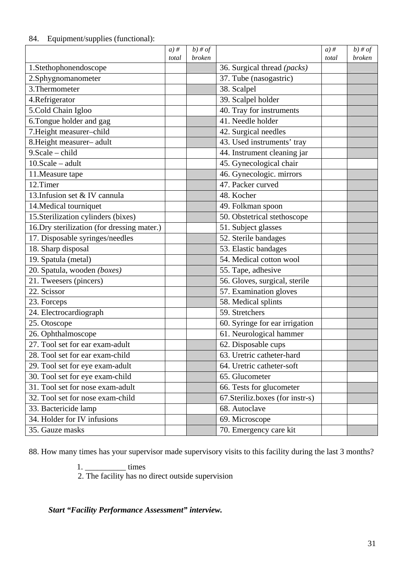## 84. Equipment/supplies (functional):

|                                             | $a)$ # | $b)$ # of     |                                   | $a)$ # | $b)$ # of |
|---------------------------------------------|--------|---------------|-----------------------------------|--------|-----------|
|                                             | total  | <b>broken</b> |                                   | total  | broken    |
| 1.Stethophonendoscope                       |        |               | 36. Surgical thread (packs)       |        |           |
| 2.Sphygnomanometer                          |        |               | 37. Tube (nasogastric)            |        |           |
| 3. Thermometer                              |        |               | 38. Scalpel                       |        |           |
| 4.Refrigerator                              |        |               | 39. Scalpel holder                |        |           |
| 5.Cold Chain Igloo                          |        |               | 40. Tray for instruments          |        |           |
| 6.Tongue holder and gag                     |        |               | $\overline{41}$ . Needle holder   |        |           |
| 7. Height measurer-child                    |        |               | 42. Surgical needles              |        |           |
| 8. Height measurer- adult                   |        |               | 43. Used instruments' tray        |        |           |
| $9. Scale - child$                          |        |               | 44. Instrument cleaning jar       |        |           |
| $10.Scale - adult$                          |        |               | 45. Gynecological chair           |        |           |
| 11. Measure tape                            |        |               | 46. Gynecologic. mirrors          |        |           |
| 12.Timer                                    |        |               | 47. Packer curved                 |        |           |
| 13. Infusion set & IV cannula               |        |               | 48. Kocher                        |        |           |
| 14. Medical tourniquet                      |        |               | 49. Folkman spoon                 |        |           |
| 15. Sterilization cylinders (bixes)         |        |               | 50. Obstetrical stethoscope       |        |           |
| 16. Dry sterilization (for dressing mater.) |        |               | 51. Subject glasses               |        |           |
| 17. Disposable syringes/needles             |        |               | 52. Sterile bandages              |        |           |
| 18. Sharp disposal                          |        |               | 53. Elastic bandages              |        |           |
| 19. Spatula (metal)                         |        |               | 54. Medical cotton wool           |        |           |
| 20. Spatula, wooden (boxes)                 |        |               | 55. Tape, adhesive                |        |           |
| 21. Tweesers (pincers)                      |        |               | 56. Gloves, surgical, sterile     |        |           |
| 22. Scissor                                 |        |               | 57. Examination gloves            |        |           |
| 23. Forceps                                 |        |               | 58. Medical splints               |        |           |
| 24. Electrocardiograph                      |        |               | 59. Stretchers                    |        |           |
| 25. Otoscope                                |        |               | 60. Syringe for ear irrigation    |        |           |
| 26. Ophthalmoscope                          |        |               | 61. Neurological hammer           |        |           |
| 27. Tool set for ear exam-adult             |        |               | 62. Disposable cups               |        |           |
| 28. Tool set for ear exam-child             |        |               | 63. Uretric catheter-hard         |        |           |
| 29. Tool set for eye exam-adult             |        |               | 64. Uretric catheter-soft         |        |           |
| 30. Tool set for eye exam-child             |        |               | 65. Glucometer                    |        |           |
| 31. Tool set for nose exam-adult            |        |               | 66. Tests for glucometer          |        |           |
| 32. Tool set for nose exam-child            |        |               | 67. Steriliz. boxes (for instr-s) |        |           |
| 33. Bactericide lamp                        |        |               | 68. Autoclave                     |        |           |
| 34. Holder for IV infusions                 |        |               | 69. Microscope                    |        |           |
| 35. Gauze masks                             |        |               | 70. Emergency care kit            |        |           |

88. How many times has your supervisor made supervisory visits to this facility during the last 3 months?

1. \_\_\_\_\_\_\_\_\_\_\_\_\_\_\_\_ times

2. The facility has no direct outside supervision

*Start "Facility Performance Assessment" interview.*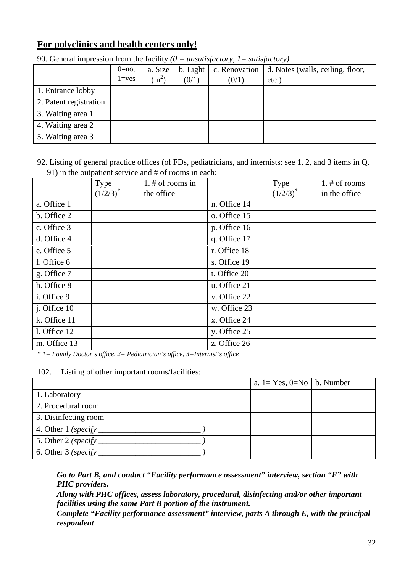## **For polyclinics and health centers only!**

|                        | $0=$ no,  | a. Size | $b.$ Light $ $ | c. Renovation | d. Notes (walls, ceiling, floor, |
|------------------------|-----------|---------|----------------|---------------|----------------------------------|
|                        | $l = ves$ | $(m^2)$ | (0/1)          | (0/1)         | $etc.$ )                         |
| 1. Entrance lobby      |           |         |                |               |                                  |
| 2. Patent registration |           |         |                |               |                                  |
| 3. Waiting area 1      |           |         |                |               |                                  |
| 4. Waiting area 2      |           |         |                |               |                                  |
| 5. Waiting area 3      |           |         |                |               |                                  |

90. General impression from the facility *(0 = unsatisfactory, 1= satisfactory)*

92. Listing of general practice offices (of FDs, pediatricians, and internists: see 1, 2, and 3 items in Q. 91) in the outpatient service and # of rooms in each:

|              | Type          | $1.$ # of rooms in |              | <b>Type</b>   | 1. # of rooms |
|--------------|---------------|--------------------|--------------|---------------|---------------|
|              | $(1/2/3)^{*}$ | the office         |              | $(1/2/3)^{*}$ | in the office |
| a. Office 1  |               |                    | n. Office 14 |               |               |
| b. Office 2  |               |                    | o. Office 15 |               |               |
| c. Office 3  |               |                    | p. Office 16 |               |               |
| d. Office 4  |               |                    | q. Office 17 |               |               |
| e. Office 5  |               |                    | r. Office 18 |               |               |
| f. Office 6  |               |                    | s. Office 19 |               |               |
| g. Office 7  |               |                    | t. Office 20 |               |               |
| h. Office 8  |               |                    | u. Office 21 |               |               |
| i. Office 9  |               |                    | v. Office 22 |               |               |
| j. Office 10 |               |                    | w. Office 23 |               |               |
| k. Office 11 |               |                    | x. Office 24 |               |               |
| l. Office 12 |               |                    | y. Office 25 |               |               |
| m. Office 13 |               |                    | z. Office 26 |               |               |

*\* 1= Family Doctor's office, 2= Pediatrician's office, 3=Internist's office* 

#### 102. Listing of other important rooms/facilities:

|                                 | a. $1 = Yes$ , $0 = No$   b. Number |  |
|---------------------------------|-------------------------------------|--|
| 1. Laboratory                   |                                     |  |
| 2. Procedural room              |                                     |  |
| 3. Disinfecting room            |                                     |  |
| 4. Other $1$ (specify _________ |                                     |  |
| 5. Other 2 (specify             |                                     |  |
| 6. Other $3$ (specify           |                                     |  |

*Go to Part B, and conduct "Facility performance assessment" interview, section "F" with PHC providers.* 

*Along with PHC offices, assess laboratory, procedural, disinfecting and/or other important facilities using the same Part B portion of the instrument.* 

*Complete "Facility performance assessment" interview, parts A through E, with the principal respondent*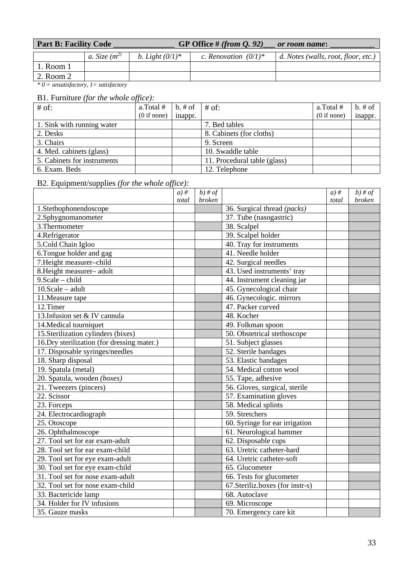| <b>Part B: Facility Code</b> | GP Office # (from $Q. 92$ ) | or room name: |
|------------------------------|-----------------------------|---------------|
|                              |                             |               |

|               | a. Size $(m^2)$ | b. Light $(0/1)^*$ | c. Renovation $(0/1)^*$ | d. Notes (walls, root, floor, etc.) |
|---------------|-----------------|--------------------|-------------------------|-------------------------------------|
| $1.$ Room $1$ |                 |                    |                         |                                     |
| 2. Room 2     |                 |                    |                         |                                     |

*\* 0 = unsatisfactory, 1= satisfactory* 

## B1. Furniture *(for the whole office):*

| $#$ of:                     | a.Total#    | $b. \# of$ | $#$ of:                      | a.Total#    | $b.$ # of |
|-----------------------------|-------------|------------|------------------------------|-------------|-----------|
|                             | (0 if none) | inappr.    |                              | (0 if none) | inappr.   |
| 1. Sink with running water  |             |            | 7. Bed tables                |             |           |
| 2. Desks                    |             |            | 8. Cabinets (for cloths)     |             |           |
| 3. Chairs                   |             |            | 9. Screen                    |             |           |
| 4. Med. cabinets (glass)    |             |            | 10. Swaddle table            |             |           |
| 5. Cabinets for instruments |             |            | 11. Procedural table (glass) |             |           |
| 6. Exam. Beds               |             |            | 12. Telephone                |             |           |

## B2. Equipment/supplies *(for the whole office):*

|                                             | $a)$ # | $b)$ # of     |                                          | $a)$ # | $b)$ # of     |
|---------------------------------------------|--------|---------------|------------------------------------------|--------|---------------|
|                                             | total  | <b>broken</b> |                                          | total  | <b>broken</b> |
| 1.Stethophonendoscope                       |        |               | 36. Surgical thread (packs)              |        |               |
| 2.Sphygnomanometer                          |        |               | 37. Tube (nasogastric)                   |        |               |
| 3. Thermometer                              |        |               | 38. Scalpel                              |        |               |
| 4.Refrigerator                              |        |               | 39. Scalpel holder                       |        |               |
| 5.Cold Chain Igloo                          |        |               | 40. Tray for instruments                 |        |               |
| 6. Tongue holder and gag                    |        |               | 41. Needle holder                        |        |               |
| 7. Height measurer-child                    |        |               | 42. Surgical needles                     |        |               |
| 8. Height measurer- adult                   |        |               | $\overline{43}$ . Used instruments' tray |        |               |
| $9. Scale - child$                          |        |               | 44. Instrument cleaning jar              |        |               |
| $10.Scale - adult$                          |        |               | 45. Gynecological chair                  |        |               |
| 11. Measure tape                            |        |               | 46. Gynecologic. mirrors                 |        |               |
| 12.Timer                                    |        |               | 47. Packer curved                        |        |               |
| 13. Infusion set & IV cannula               |        |               | 48. Kocher                               |        |               |
| 14. Medical tourniquet                      |        |               | 49. Folkman spoon                        |        |               |
| 15. Sterilization cylinders (bixes)         |        |               | 50. Obstetrical stethoscope              |        |               |
| 16. Dry sterilization (for dressing mater.) |        |               | 51. Subject glasses                      |        |               |
| 17. Disposable syringes/needles             |        |               | 52. Sterile bandages                     |        |               |
| 18. Sharp disposal                          |        |               | 53. Elastic bandages                     |        |               |
| 19. Spatula (metal)                         |        |               | 54. Medical cotton wool                  |        |               |
| 20. Spatula, wooden (boxes)                 |        |               | 55. Tape, adhesive                       |        |               |
| 21. Tweezers (pincers)                      |        |               | 56. Gloves, surgical, sterile            |        |               |
| 22. Scissor                                 |        |               | 57. Examination gloves                   |        |               |
| 23. Forceps                                 |        |               | 58. Medical splints                      |        |               |
| 24. Electrocardiograph                      |        |               | 59. Stretchers                           |        |               |
| 25. Otoscope                                |        |               | 60. Syringe for ear irrigation           |        |               |
| 26. Ophthalmoscope                          |        |               | 61. Neurological hammer                  |        |               |
| 27. Tool set for ear exam-adult             |        |               | 62. Disposable cups                      |        |               |
| 28. Tool set for ear exam-child             |        |               | 63. Uretric catheter-hard                |        |               |
| 29. Tool set for eye exam-adult             |        |               | 64. Uretric catheter-soft                |        |               |
| 30. Tool set for eye exam-child             |        |               | 65. Glucometer                           |        |               |
| 31. Tool set for nose exam-adult            |        |               | 66. Tests for glucometer                 |        |               |
| 32. Tool set for nose exam-child            |        |               | 67. Steriliz. boxes (for instr-s)        |        |               |
| 33. Bactericide lamp                        |        |               | 68. Autoclave                            |        |               |
| 34. Holder for IV infusions                 |        |               | $69.$ Microscope                         |        |               |
| 35. Gauze masks                             |        |               | 70. Emergency care kit                   |        |               |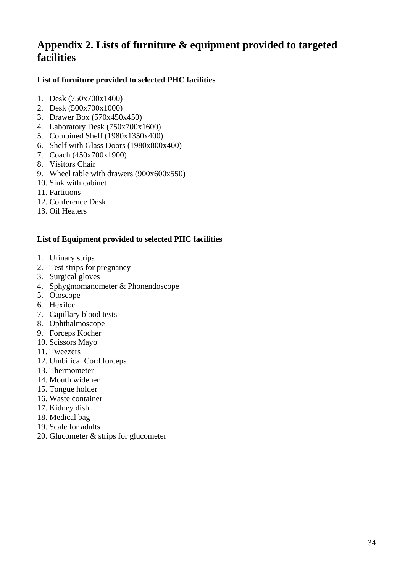## **Appendix 2. Lists of furniture & equipment provided to targeted facilities**

## **List of furniture provided to selected PHC facilities**

- 1. Desk (750x700x1400)
- 2. Desk (500x700x1000)
- 3. Drawer Box (570x450x450)
- 4. Laboratory Desk (750x700x1600)
- 5. Combined Shelf (1980x1350x400)
- 6. Shelf with Glass Doors (1980x800x400)
- 7. Coach (450x700x1900)
- 8. Visitors Chair
- 9. Wheel table with drawers (900x600x550)
- 10. Sink with cabinet
- 11. Partitions
- 12. Conference Desk
- 13. Oil Heaters

## **List of Equipment provided to selected PHC facilities**

- 1. Urinary strips
- 2. Test strips for pregnancy
- 3. Surgical gloves
- 4. Sphygmomanometer & Phonendoscope
- 5. Otoscope
- 6. Hexiloc
- 7. Capillary blood tests
- 8. Ophthalmoscope
- 9. Forceps Kocher
- 10. Scissors Mayo
- 11. Tweezers
- 12. Umbilical Cord forceps
- 13. Thermometer
- 14. Mouth widener
- 15. Tongue holder
- 16. Waste container
- 17. Kidney dish
- 18. Medical bag
- 19. Scale for adults
- 20. Glucometer & strips for glucometer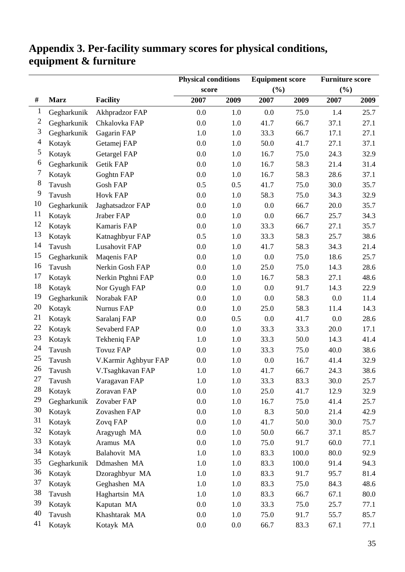|              |             |                      | <b>Physical conditions</b> |      | <b>Equipment score</b> |       | <b>Furniture score</b> |      |
|--------------|-------------|----------------------|----------------------------|------|------------------------|-------|------------------------|------|
|              |             |                      | score                      |      | (%)                    |       | (%)                    |      |
| #            | <b>Marz</b> | <b>Facility</b>      | 2007                       | 2009 | 2007                   | 2009  | 2007                   | 2009 |
| $\mathbf{1}$ | Gegharkunik | Akhpradzor FAP       | 0.0                        | 1.0  | 0.0                    | 75.0  | 1.4                    | 25.7 |
| 2            | Gegharkunik | Chkalovka FAP        | 0.0                        | 1.0  | 41.7                   | 66.7  | 37.1                   | 27.1 |
| 3            | Gegharkunik | Gagarin FAP          | 1.0                        | 1.0  | 33.3                   | 66.7  | 17.1                   | 27.1 |
| 4            | Kotayk      | Getamej FAP          | 0.0                        | 1.0  | 50.0                   | 41.7  | 27.1                   | 37.1 |
| 5            | Kotayk      | <b>Getargel FAP</b>  | 0.0                        | 1.0  | 16.7                   | 75.0  | 24.3                   | 32.9 |
| 6            | Gegharkunik | Getik FAP            | 0.0                        | 1.0  | 16.7                   | 58.3  | 21.4                   | 31.4 |
| 7            | Kotayk      | Goghtn FAP           | 0.0                        | 1.0  | 16.7                   | 58.3  | 28.6                   | 37.1 |
| $\,8\,$      | Tavush      | <b>Gosh FAP</b>      | 0.5                        | 0.5  | 41.7                   | 75.0  | 30.0                   | 35.7 |
| 9            | Tavush      | Hovk FAP             | 0.0                        | 1.0  | 58.3                   | 75.0  | 34.3                   | 32.9 |
| 10           | Gegharkunik | Jaghatsadzor FAP     | 0.0                        | 1.0  | 0.0                    | 66.7  | 20.0                   | 35.7 |
| 11           | Kotayk      | Jraber FAP           | 0.0                        | 1.0  | 0.0                    | 66.7  | 25.7                   | 34.3 |
| 12           | Kotayk      | Kamaris FAP          | 0.0                        | 1.0  | 33.3                   | 66.7  | 27.1                   | 35.7 |
| 13           | Kotayk      | Katnaghbyur FAP      | 0.5                        | 1.0  | 33.3                   | 58.3  | 25.7                   | 38.6 |
| 14           | Tavush      | <b>Lusahovit FAP</b> | 0.0                        | 1.0  | 41.7                   | 58.3  | 34.3                   | 21.4 |
| 15           | Gegharkunik | Maqenis FAP          | 0.0                        | 1.0  | 0.0                    | 75.0  | 18.6                   | 25.7 |
| 16           | Tavush      | Nerkin Gosh FAP      | 0.0                        | 1.0  | 25.0                   | 75.0  | 14.3                   | 28.6 |
| 17           | Kotayk      | Nerkin Ptghni FAP    | 0.0                        | 1.0  | 16.7                   | 58.3  | 27.1                   | 48.6 |
| 18           | Kotayk      | Nor Gyugh FAP        | 0.0                        | 1.0  | 0.0                    | 91.7  | 14.3                   | 22.9 |
| 19           | Gegharkunik | Norabak FAP          | 0.0                        | 1.0  | 0.0                    | 58.3  | 0.0                    | 11.4 |
| 20           | Kotayk      | Nurnus FAP           | 0.0                        | 1.0  | 25.0                   | 58.3  | 11.4                   | 14.3 |
| 21           | Kotayk      | Saralanj FAP         | 0.0                        | 0.5  | 0.0                    | 41.7  | 0.0                    | 28.6 |
| 22           | Kotayk      | Sevaberd FAP         | 0.0                        | 1.0  | 33.3                   | 33.3  | 20.0                   | 17.1 |
| 23           | Kotayk      | Tekheniq FAP         | 1.0                        | 1.0  | 33.3                   | 50.0  | 14.3                   | 41.4 |
| 24           | Tavush      | <b>Tovuz FAP</b>     | 0.0                        | 1.0  | 33.3                   | 75.0  | 40.0                   | 38.6 |
| 25           | Tavush      | V.Karmir Aghbyur FAP | 0.0                        | 1.0  | 0.0                    | 16.7  | 41.4                   | 32.9 |
| 26           | Tavush      | V.Tsaghkavan FAP     | 1.0                        | 1.0  | 41.7                   | 66.7  | 24.3                   | 38.6 |
| 27           | Tavush      | Varagavan FAP        | $1.0\,$                    | 1.0  | 33.3                   | 83.3  | 30.0                   | 25.7 |
| 28           | Kotayk      | Zoravan FAP          | 0.0                        | 1.0  | 25.0                   | 41.7  | 12.9                   | 32.9 |
| 29           | Gegharkunik | Zovaber FAP          | 0.0                        | 1.0  | 16.7                   | 75.0  | 41.4                   | 25.7 |
| 30           | Kotayk      | Zovashen FAP         | 0.0                        | 1.0  | 8.3                    | 50.0  | 21.4                   | 42.9 |
| 31           | Kotayk      | Zovq FAP             | 0.0                        | 1.0  | 41.7                   | 50.0  | 30.0                   | 75.7 |
| 32           | Kotayk      | Aragyugh MA          | 0.0                        | 1.0  | 50.0                   | 66.7  | 37.1                   | 85.7 |
| 33           | Kotayk      | Aramus MA            | 0.0                        | 1.0  | 75.0                   | 91.7  | 60.0                   | 77.1 |
| 34           | Kotayk      | Balahovit MA         | 1.0                        | 1.0  | 83.3                   | 100.0 | 80.0                   | 92.9 |
| 35           | Gegharkunik | Ddmashen MA          | 1.0                        | 1.0  | 83.3                   | 100.0 | 91.4                   | 94.3 |
| 36           | Kotayk      | Dzoraghbyur MA       | 1.0                        | 1.0  | 83.3                   | 91.7  | 95.7                   | 81.4 |
| 37           | Kotayk      | Geghashen MA         | 1.0                        | 1.0  | 83.3                   | 75.0  | 84.3                   | 48.6 |
| 38           | Tavush      | Haghartsin MA        | 1.0                        | 1.0  | 83.3                   | 66.7  | 67.1                   | 80.0 |
| 39           | Kotayk      | Kaputan MA           | 0.0                        | 1.0  | 33.3                   | 75.0  | 25.7                   | 77.1 |
| 40           | Tavush      | Khashtarak MA        | 0.0                        | 1.0  | 75.0                   | 91.7  | 55.7                   | 85.7 |
| 41           | Kotayk      | Kotayk MA            | 0.0                        | 0.0  | 66.7                   | 83.3  | 67.1                   | 77.1 |

# **Appendix 3. Per-facility summary scores for physical conditions, equipment & furniture**